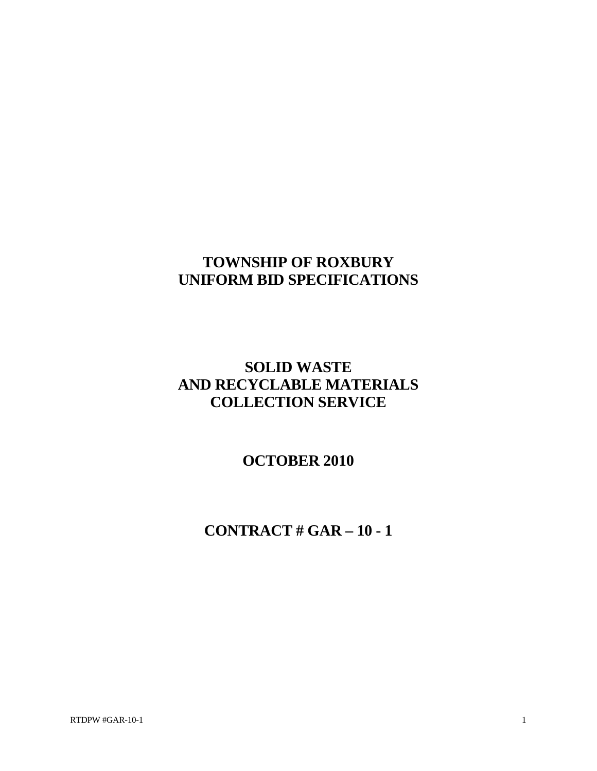# **TOWNSHIP OF ROXBURY UNIFORM BID SPECIFICATIONS**

# **SOLID WASTE AND RECYCLABLE MATERIALS COLLECTION SERVICE**

**OCTOBER 2010** 

**CONTRACT # GAR – 10 - 1**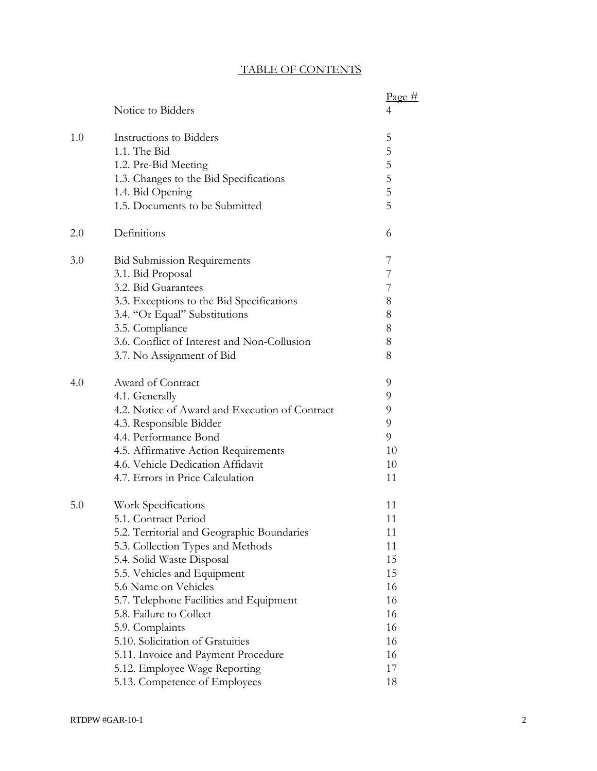## TABLE OF CONTENTS

|     |                                                | Page#          |
|-----|------------------------------------------------|----------------|
|     | Notice to Bidders                              | 4              |
| 1.0 | Instructions to Bidders                        | 5              |
|     | 1.1. The Bid                                   | 5              |
|     | 1.2. Pre-Bid Meeting                           | 5              |
|     | 1.3. Changes to the Bid Specifications         | 5              |
|     | 1.4. Bid Opening                               | 5              |
|     | 1.5. Documents to be Submitted                 | $\overline{5}$ |
| 2.0 | Definitions                                    | 6              |
| 3.0 | <b>Bid Submission Requirements</b>             | 7              |
|     | 3.1. Bid Proposal                              | 7              |
|     | 3.2. Bid Guarantees                            | 7              |
|     | 3.3. Exceptions to the Bid Specifications      | 8              |
|     | 3.4. "Or Equal" Substitutions                  | 8              |
|     | 3.5. Compliance                                | 8              |
|     | 3.6. Conflict of Interest and Non-Collusion    | 8              |
|     | 3.7. No Assignment of Bid                      | 8              |
| 4.0 | Award of Contract                              | 9              |
|     | 4.1. Generally                                 | 9              |
|     | 4.2. Notice of Award and Execution of Contract | 9              |
|     | 4.3. Responsible Bidder                        | 9              |
|     | 4.4. Performance Bond                          | 9              |
|     | 4.5. Affirmative Action Requirements           | 10             |
|     | 4.6. Vehicle Dedication Affidavit              | 10             |
|     | 4.7. Errors in Price Calculation               | 11             |
| 5.0 | Work Specifications                            | 11             |
|     | 5.1. Contract Period                           | 11             |
|     | 5.2. Territorial and Geographic Boundaries     | 11             |
|     | 5.3. Collection Types and Methods              | 11             |
|     | 5.4. Solid Waste Disposal                      | 15             |
|     | 5.5. Vehicles and Equipment                    | 15             |
|     | 5.6 Name on Vehicles                           | 16             |
|     | 5.7. Telephone Facilities and Equipment        | 16             |
|     | 5.8. Failure to Collect                        | 16             |
|     | 5.9. Complaints                                | 16             |
|     | 5.10. Solicitation of Gratuities               | 16             |
|     | 5.11. Invoice and Payment Procedure            | 16             |
|     | 5.12. Employee Wage Reporting                  | 17             |
|     | 5.13. Competence of Employees                  | 18             |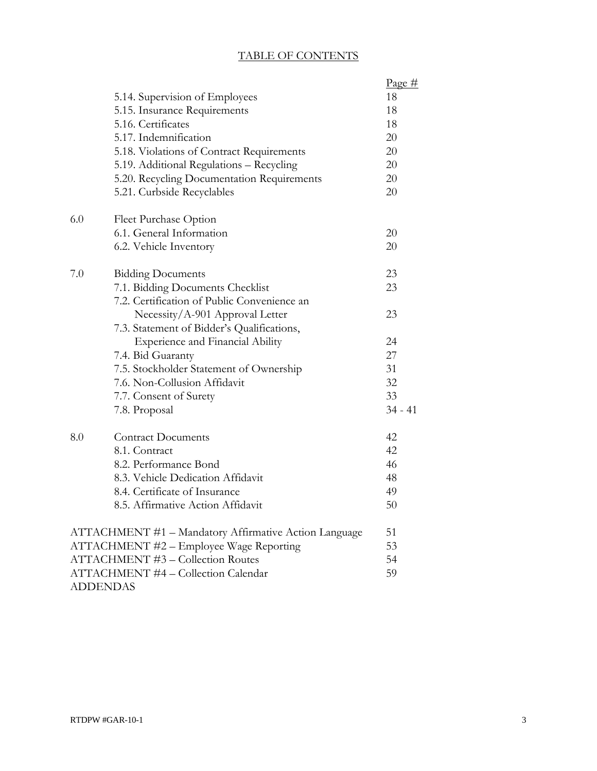# TABLE OF CONTENTS

|                                          |                                                       | Page#     |  |
|------------------------------------------|-------------------------------------------------------|-----------|--|
|                                          | 5.14. Supervision of Employees                        | 18        |  |
|                                          | 5.15. Insurance Requirements                          | 18        |  |
|                                          | 5.16. Certificates                                    | 18        |  |
|                                          | 5.17. Indemnification                                 | 20        |  |
|                                          | 5.18. Violations of Contract Requirements             | 20        |  |
|                                          | 5.19. Additional Regulations - Recycling              | 20        |  |
|                                          | 5.20. Recycling Documentation Requirements            | 20        |  |
|                                          | 5.21. Curbside Recyclables                            | 20        |  |
| 6.0                                      | Fleet Purchase Option                                 |           |  |
|                                          | 6.1. General Information                              | 20        |  |
|                                          | 6.2. Vehicle Inventory                                | 20        |  |
| 7.0                                      | <b>Bidding Documents</b>                              | 23        |  |
|                                          | 7.1. Bidding Documents Checklist                      | 23        |  |
|                                          | 7.2. Certification of Public Convenience an           |           |  |
|                                          | Necessity/A-901 Approval Letter                       | 23        |  |
|                                          | 7.3. Statement of Bidder's Qualifications,            |           |  |
|                                          | <b>Experience and Financial Ability</b>               | 24        |  |
|                                          | 7.4. Bid Guaranty                                     | 27        |  |
|                                          | 7.5. Stockholder Statement of Ownership               | 31        |  |
|                                          | 7.6. Non-Collusion Affidavit                          | 32        |  |
|                                          | 7.7. Consent of Surety                                | 33        |  |
|                                          | 7.8. Proposal                                         | $34 - 41$ |  |
| 8.0                                      | <b>Contract Documents</b>                             | 42        |  |
|                                          | 8.1. Contract                                         | 42        |  |
|                                          | 8.2. Performance Bond                                 | 46        |  |
|                                          | 8.3. Vehicle Dedication Affidavit                     | 48        |  |
|                                          | 8.4. Certificate of Insurance                         | 49        |  |
|                                          | 8.5. Affirmative Action Affidavit                     | 50        |  |
|                                          | ATTACHMENT #1 - Mandatory Affirmative Action Language | 51        |  |
| ATTACHMENT #2 - Employee Wage Reporting  |                                                       |           |  |
| <b>ATTACHMENT #3 - Collection Routes</b> |                                                       |           |  |
|                                          | ATTACHMENT #4 - Collection Calendar                   | 59        |  |
|                                          | <b>ADDENDAS</b>                                       |           |  |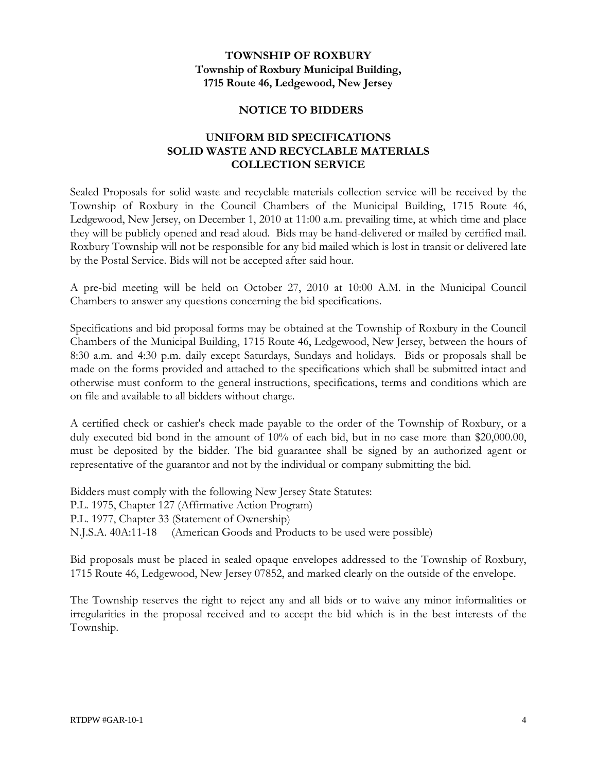## **TOWNSHIP OF ROXBURY Township of Roxbury Municipal Building, 1715 Route 46, Ledgewood, New Jersey**

## **NOTICE TO BIDDERS**

## **UNIFORM BID SPECIFICATIONS SOLID WASTE AND RECYCLABLE MATERIALS COLLECTION SERVICE**

Sealed Proposals for solid waste and recyclable materials collection service will be received by the Township of Roxbury in the Council Chambers of the Municipal Building, 1715 Route 46, Ledgewood, New Jersey, on December 1, 2010 at 11:00 a.m. prevailing time, at which time and place they will be publicly opened and read aloud. Bids may be hand-delivered or mailed by certified mail. Roxbury Township will not be responsible for any bid mailed which is lost in transit or delivered late by the Postal Service. Bids will not be accepted after said hour.

A pre-bid meeting will be held on October 27, 2010 at 10:00 A.M. in the Municipal Council Chambers to answer any questions concerning the bid specifications.

Specifications and bid proposal forms may be obtained at the Township of Roxbury in the Council Chambers of the Municipal Building, 1715 Route 46, Ledgewood, New Jersey, between the hours of 8:30 a.m. and 4:30 p.m. daily except Saturdays, Sundays and holidays. Bids or proposals shall be made on the forms provided and attached to the specifications which shall be submitted intact and otherwise must conform to the general instructions, specifications, terms and conditions which are on file and available to all bidders without charge.

A certified check or cashier's check made payable to the order of the Township of Roxbury, or a duly executed bid bond in the amount of 10% of each bid, but in no case more than \$20,000.00, must be deposited by the bidder. The bid guarantee shall be signed by an authorized agent or representative of the guarantor and not by the individual or company submitting the bid.

Bidders must comply with the following New Jersey State Statutes: P.L. 1975, Chapter 127 (Affirmative Action Program) P.L. 1977, Chapter 33 (Statement of Ownership) N.J.S.A. 40A:11-18 (American Goods and Products to be used were possible)

Bid proposals must be placed in sealed opaque envelopes addressed to the Township of Roxbury, 1715 Route 46, Ledgewood, New Jersey 07852, and marked clearly on the outside of the envelope.

The Township reserves the right to reject any and all bids or to waive any minor informalities or irregularities in the proposal received and to accept the bid which is in the best interests of the Township.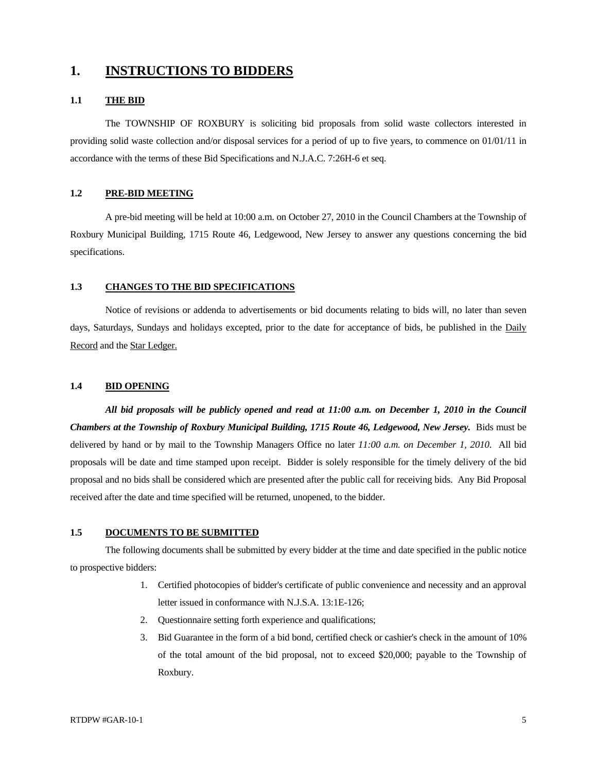# **1. INSTRUCTIONS TO BIDDERS**

### **1.1 THE BID**

 The TOWNSHIP OF ROXBURY is soliciting bid proposals from solid waste collectors interested in providing solid waste collection and/or disposal services for a period of up to five years, to commence on 01/01/11 in accordance with the terms of these Bid Specifications and N.J.A.C. 7:26H-6 et seq.

### **1.2 PRE-BID MEETING**

A pre-bid meeting will be held at 10:00 a.m. on October 27, 2010 in the Council Chambers at the Township of Roxbury Municipal Building, 1715 Route 46, Ledgewood, New Jersey to answer any questions concerning the bid specifications.

### **1.3 CHANGES TO THE BID SPECIFICATIONS**

Notice of revisions or addenda to advertisements or bid documents relating to bids will, no later than seven days, Saturdays, Sundays and holidays excepted, prior to the date for acceptance of bids, be published in the Daily Record and the Star Ledger.

### **1.4 BID OPENING**

*All bid proposals will be publicly opened and read at 11:00 a.m. on December 1, 2010 in the Council Chambers at the Township of Roxbury Municipal Building, 1715 Route 46, Ledgewood, New Jersey.* Bids must be delivered by hand or by mail to the Township Managers Office no later *11:00 a.m. on December 1, 2010*. All bid proposals will be date and time stamped upon receipt. Bidder is solely responsible for the timely delivery of the bid proposal and no bids shall be considered which are presented after the public call for receiving bids. Any Bid Proposal received after the date and time specified will be returned, unopened, to the bidder.

### **1.5 DOCUMENTS TO BE SUBMITTED**

The following documents shall be submitted by every bidder at the time and date specified in the public notice to prospective bidders:

- 1. Certified photocopies of bidder's certificate of public convenience and necessity and an approval letter issued in conformance with N.J.S.A. 13:1E-126;
- 2. Questionnaire setting forth experience and qualifications;
- 3. Bid Guarantee in the form of a bid bond, certified check or cashier's check in the amount of 10% of the total amount of the bid proposal, not to exceed \$20,000; payable to the Township of Roxbury.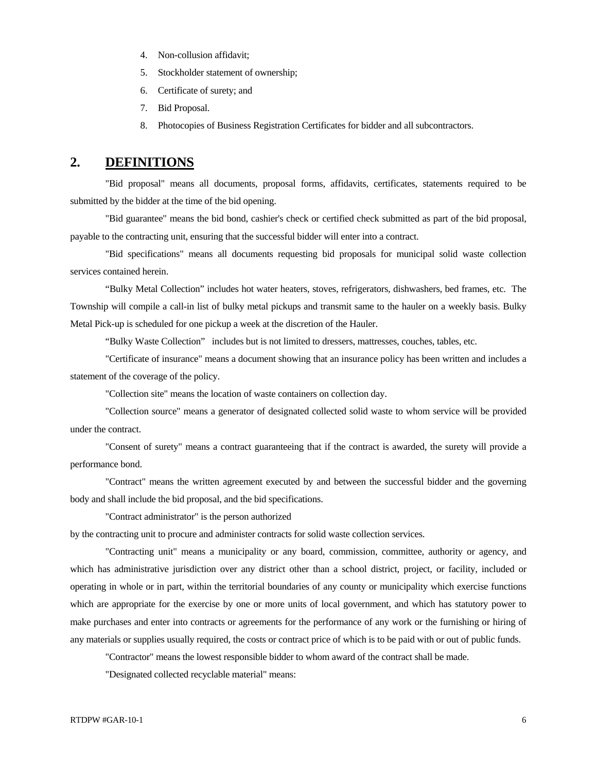- 4. Non-collusion affidavit;
- 5. Stockholder statement of ownership;
- 6. Certificate of surety; and
- 7. Bid Proposal.
- 8. Photocopies of Business Registration Certificates for bidder and all subcontractors.

## **2. DEFINITIONS**

 "Bid proposal" means all documents, proposal forms, affidavits, certificates, statements required to be submitted by the bidder at the time of the bid opening.

 "Bid guarantee" means the bid bond, cashier's check or certified check submitted as part of the bid proposal, payable to the contracting unit, ensuring that the successful bidder will enter into a contract.

 "Bid specifications" means all documents requesting bid proposals for municipal solid waste collection services contained herein.

 "Bulky Metal Collection" includes hot water heaters, stoves, refrigerators, dishwashers, bed frames, etc. The Township will compile a call-in list of bulky metal pickups and transmit same to the hauler on a weekly basis. Bulky Metal Pick-up is scheduled for one pickup a week at the discretion of the Hauler.

"Bulky Waste Collection" includes but is not limited to dressers, mattresses, couches, tables, etc.

 "Certificate of insurance" means a document showing that an insurance policy has been written and includes a statement of the coverage of the policy.

"Collection site" means the location of waste containers on collection day.

 "Collection source" means a generator of designated collected solid waste to whom service will be provided under the contract.

 "Consent of surety" means a contract guaranteeing that if the contract is awarded, the surety will provide a performance bond.

 "Contract" means the written agreement executed by and between the successful bidder and the governing body and shall include the bid proposal, and the bid specifications.

"Contract administrator" is the person authorized

by the contracting unit to procure and administer contracts for solid waste collection services.

 "Contracting unit" means a municipality or any board, commission, committee, authority or agency, and which has administrative jurisdiction over any district other than a school district, project, or facility, included or operating in whole or in part, within the territorial boundaries of any county or municipality which exercise functions which are appropriate for the exercise by one or more units of local government, and which has statutory power to make purchases and enter into contracts or agreements for the performance of any work or the furnishing or hiring of any materials or supplies usually required, the costs or contract price of which is to be paid with or out of public funds.

"Contractor" means the lowest responsible bidder to whom award of the contract shall be made.

"Designated collected recyclable material" means: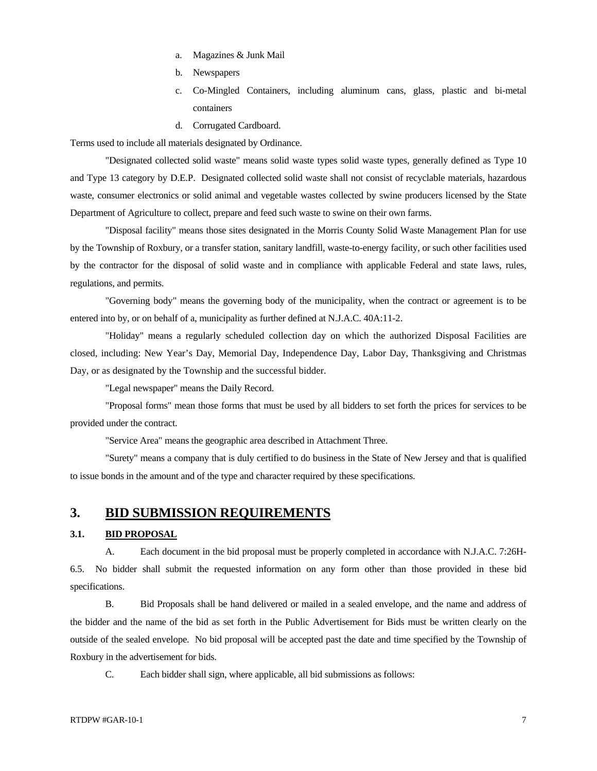- a. Magazines & Junk Mail
- b. Newspapers
- c. Co-Mingled Containers, including aluminum cans, glass, plastic and bi-metal containers
- d. Corrugated Cardboard.

Terms used to include all materials designated by Ordinance.

 "Designated collected solid waste" means solid waste types solid waste types, generally defined as Type 10 and Type 13 category by D.E.P. Designated collected solid waste shall not consist of recyclable materials, hazardous waste, consumer electronics or solid animal and vegetable wastes collected by swine producers licensed by the State Department of Agriculture to collect, prepare and feed such waste to swine on their own farms.

 "Disposal facility" means those sites designated in the Morris County Solid Waste Management Plan for use by the Township of Roxbury, or a transfer station, sanitary landfill, waste-to-energy facility, or such other facilities used by the contractor for the disposal of solid waste and in compliance with applicable Federal and state laws, rules, regulations, and permits.

 "Governing body" means the governing body of the municipality, when the contract or agreement is to be entered into by, or on behalf of a, municipality as further defined at N.J.A.C. 40A:11-2.

"Holiday" means a regularly scheduled collection day on which the authorized Disposal Facilities are closed, including: New Year's Day, Memorial Day, Independence Day, Labor Day, Thanksgiving and Christmas Day, or as designated by the Township and the successful bidder.

"Legal newspaper" means the Daily Record.

 "Proposal forms" mean those forms that must be used by all bidders to set forth the prices for services to be provided under the contract.

"Service Area" means the geographic area described in Attachment Three.

 "Surety" means a company that is duly certified to do business in the State of New Jersey and that is qualified to issue bonds in the amount and of the type and character required by these specifications.

### **3. BID SUBMISSION REQUIREMENTS**

### **3.1. BID PROPOSAL**

 A. Each document in the bid proposal must be properly completed in accordance with N.J.A.C. 7:26H-6.5. No bidder shall submit the requested information on any form other than those provided in these bid specifications.

 B. Bid Proposals shall be hand delivered or mailed in a sealed envelope, and the name and address of the bidder and the name of the bid as set forth in the Public Advertisement for Bids must be written clearly on the outside of the sealed envelope. No bid proposal will be accepted past the date and time specified by the Township of Roxbury in the advertisement for bids.

C. Each bidder shall sign, where applicable, all bid submissions as follows: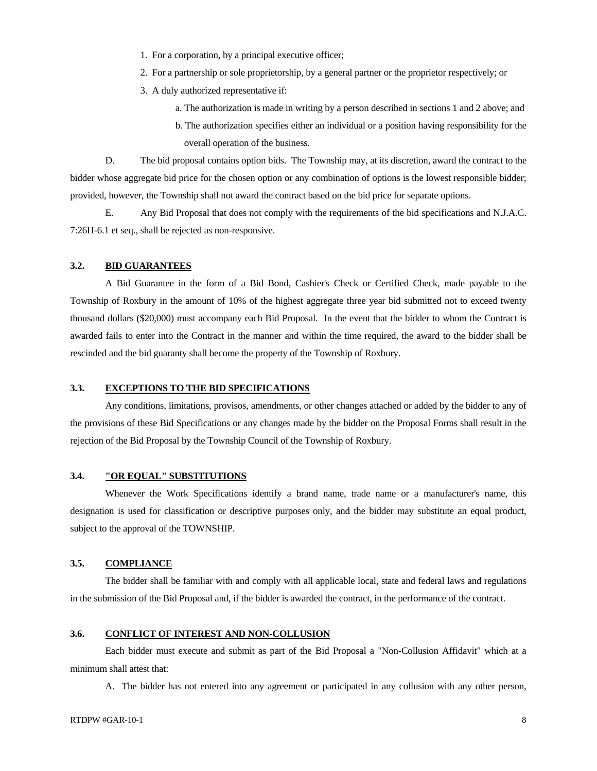- 1. For a corporation, by a principal executive officer;
- 2. For a partnership or sole proprietorship, by a general partner or the proprietor respectively; or
- 3. A duly authorized representative if:
	- a. The authorization is made in writing by a person described in sections 1 and 2 above; and
	- b. The authorization specifies either an individual or a position having responsibility for the overall operation of the business.

 D. The bid proposal contains option bids. The Township may, at its discretion, award the contract to the bidder whose aggregate bid price for the chosen option or any combination of options is the lowest responsible bidder; provided, however, the Township shall not award the contract based on the bid price for separate options.

 E. Any Bid Proposal that does not comply with the requirements of the bid specifications and N.J.A.C. 7:26H-6.1 et seq., shall be rejected as non-responsive.

### **3.2. BID GUARANTEES**

 A Bid Guarantee in the form of a Bid Bond, Cashier's Check or Certified Check, made payable to the Township of Roxbury in the amount of 10% of the highest aggregate three year bid submitted not to exceed twenty thousand dollars (\$20,000) must accompany each Bid Proposal. In the event that the bidder to whom the Contract is awarded fails to enter into the Contract in the manner and within the time required, the award to the bidder shall be rescinded and the bid guaranty shall become the property of the Township of Roxbury.

### **3.3. EXCEPTIONS TO THE BID SPECIFICATIONS**

 Any conditions, limitations, provisos, amendments, or other changes attached or added by the bidder to any of the provisions of these Bid Specifications or any changes made by the bidder on the Proposal Forms shall result in the rejection of the Bid Proposal by the Township Council of the Township of Roxbury.

### **3.4. "OR EQUAL" SUBSTITUTIONS**

 Whenever the Work Specifications identify a brand name, trade name or a manufacturer's name, this designation is used for classification or descriptive purposes only, and the bidder may substitute an equal product, subject to the approval of the TOWNSHIP.

### **3.5. COMPLIANCE**

 The bidder shall be familiar with and comply with all applicable local, state and federal laws and regulations in the submission of the Bid Proposal and, if the bidder is awarded the contract, in the performance of the contract.

### **3.6. CONFLICT OF INTEREST AND NON-COLLUSION**

 Each bidder must execute and submit as part of the Bid Proposal a "Non-Collusion Affidavit" which at a minimum shall attest that:

A. The bidder has not entered into any agreement or participated in any collusion with any other person,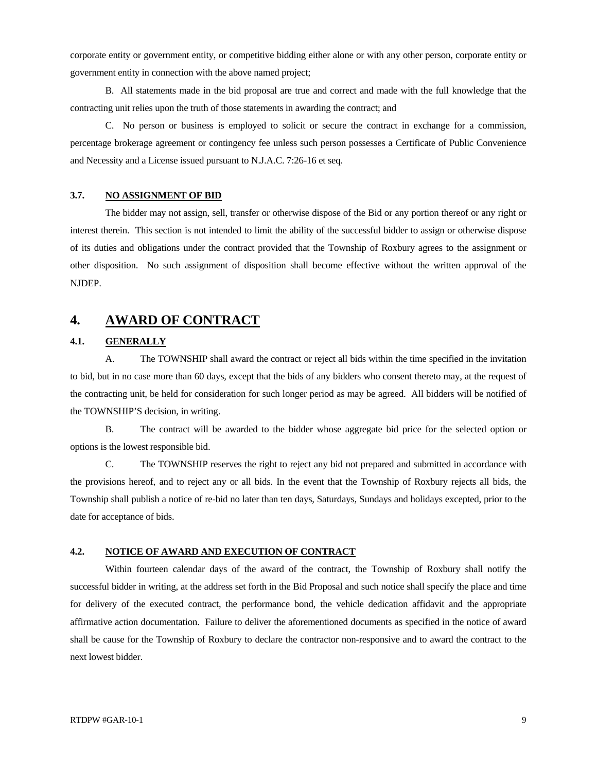corporate entity or government entity, or competitive bidding either alone or with any other person, corporate entity or government entity in connection with the above named project;

 B. All statements made in the bid proposal are true and correct and made with the full knowledge that the contracting unit relies upon the truth of those statements in awarding the contract; and

 C. No person or business is employed to solicit or secure the contract in exchange for a commission, percentage brokerage agreement or contingency fee unless such person possesses a Certificate of Public Convenience and Necessity and a License issued pursuant to N.J.A.C. 7:26-16 et seq.

### **3.7. NO ASSIGNMENT OF BID**

 The bidder may not assign, sell, transfer or otherwise dispose of the Bid or any portion thereof or any right or interest therein. This section is not intended to limit the ability of the successful bidder to assign or otherwise dispose of its duties and obligations under the contract provided that the Township of Roxbury agrees to the assignment or other disposition. No such assignment of disposition shall become effective without the written approval of the NJDEP.

## **4. AWARD OF CONTRACT**

### **4.1. GENERALLY**

 A. The TOWNSHIP shall award the contract or reject all bids within the time specified in the invitation to bid, but in no case more than 60 days, except that the bids of any bidders who consent thereto may, at the request of the contracting unit, be held for consideration for such longer period as may be agreed. All bidders will be notified of the TOWNSHIP'S decision, in writing.

 B. The contract will be awarded to the bidder whose aggregate bid price for the selected option or options is the lowest responsible bid.

 C. The TOWNSHIP reserves the right to reject any bid not prepared and submitted in accordance with the provisions hereof, and to reject any or all bids. In the event that the Township of Roxbury rejects all bids, the Township shall publish a notice of re-bid no later than ten days, Saturdays, Sundays and holidays excepted, prior to the date for acceptance of bids.

### **4.2. NOTICE OF AWARD AND EXECUTION OF CONTRACT**

 Within fourteen calendar days of the award of the contract, the Township of Roxbury shall notify the successful bidder in writing, at the address set forth in the Bid Proposal and such notice shall specify the place and time for delivery of the executed contract, the performance bond, the vehicle dedication affidavit and the appropriate affirmative action documentation. Failure to deliver the aforementioned documents as specified in the notice of award shall be cause for the Township of Roxbury to declare the contractor non-responsive and to award the contract to the next lowest bidder.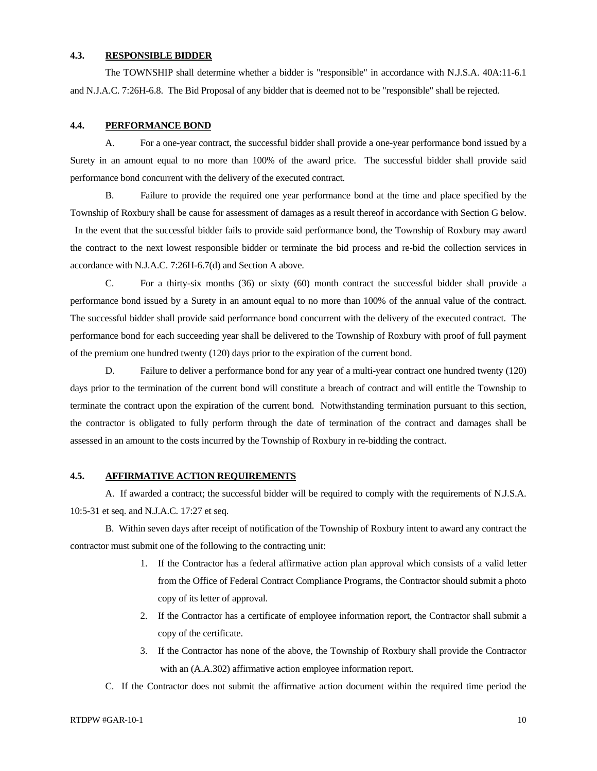### **4.3. RESPONSIBLE BIDDER**

 The TOWNSHIP shall determine whether a bidder is "responsible" in accordance with N.J.S.A. 40A:11-6.1 and N.J.A.C. 7:26H-6.8. The Bid Proposal of any bidder that is deemed not to be "responsible" shall be rejected.

### **4.4. PERFORMANCE BOND**

 A. For a one-year contract, the successful bidder shall provide a one-year performance bond issued by a Surety in an amount equal to no more than 100% of the award price. The successful bidder shall provide said performance bond concurrent with the delivery of the executed contract.

 B. Failure to provide the required one year performance bond at the time and place specified by the Township of Roxbury shall be cause for assessment of damages as a result thereof in accordance with Section G below. In the event that the successful bidder fails to provide said performance bond, the Township of Roxbury may award the contract to the next lowest responsible bidder or terminate the bid process and re-bid the collection services in

 C. For a thirty-six months (36) or sixty (60) month contract the successful bidder shall provide a performance bond issued by a Surety in an amount equal to no more than 100% of the annual value of the contract. The successful bidder shall provide said performance bond concurrent with the delivery of the executed contract. The performance bond for each succeeding year shall be delivered to the Township of Roxbury with proof of full payment of the premium one hundred twenty (120) days prior to the expiration of the current bond.

 D. Failure to deliver a performance bond for any year of a multi-year contract one hundred twenty (120) days prior to the termination of the current bond will constitute a breach of contract and will entitle the Township to terminate the contract upon the expiration of the current bond. Notwithstanding termination pursuant to this section, the contractor is obligated to fully perform through the date of termination of the contract and damages shall be assessed in an amount to the costs incurred by the Township of Roxbury in re-bidding the contract.

### **4.5. AFFIRMATIVE ACTION REQUIREMENTS**

accordance with N.J.A.C. 7:26H-6.7(d) and Section A above.

 A. If awarded a contract; the successful bidder will be required to comply with the requirements of N.J.S.A. 10:5-31 et seq. and N.J.A.C. 17:27 et seq.

 B. Within seven days after receipt of notification of the Township of Roxbury intent to award any contract the contractor must submit one of the following to the contracting unit:

- 1. If the Contractor has a federal affirmative action plan approval which consists of a valid letter from the Office of Federal Contract Compliance Programs, the Contractor should submit a photo copy of its letter of approval.
- 2. If the Contractor has a certificate of employee information report, the Contractor shall submit a copy of the certificate.
- 3. If the Contractor has none of the above, the Township of Roxbury shall provide the Contractor with an (A.A.302) affirmative action employee information report.
- C. If the Contractor does not submit the affirmative action document within the required time period the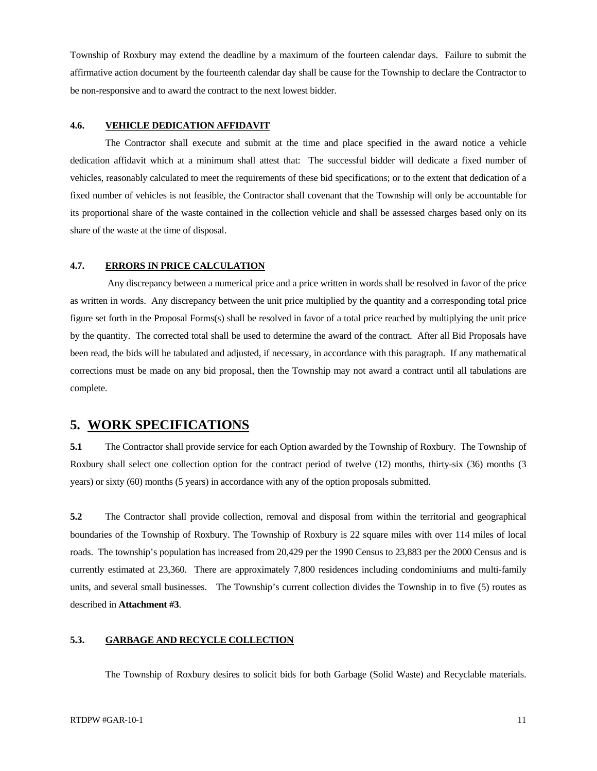Township of Roxbury may extend the deadline by a maximum of the fourteen calendar days. Failure to submit the affirmative action document by the fourteenth calendar day shall be cause for the Township to declare the Contractor to be non-responsive and to award the contract to the next lowest bidder.

### **4.6. VEHICLE DEDICATION AFFIDAVIT**

 The Contractor shall execute and submit at the time and place specified in the award notice a vehicle dedication affidavit which at a minimum shall attest that: The successful bidder will dedicate a fixed number of vehicles, reasonably calculated to meet the requirements of these bid specifications; or to the extent that dedication of a fixed number of vehicles is not feasible, the Contractor shall covenant that the Township will only be accountable for its proportional share of the waste contained in the collection vehicle and shall be assessed charges based only on its share of the waste at the time of disposal.

### **4.7. ERRORS IN PRICE CALCULATION**

 Any discrepancy between a numerical price and a price written in words shall be resolved in favor of the price as written in words. Any discrepancy between the unit price multiplied by the quantity and a corresponding total price figure set forth in the Proposal Forms(s) shall be resolved in favor of a total price reached by multiplying the unit price by the quantity. The corrected total shall be used to determine the award of the contract. After all Bid Proposals have been read, the bids will be tabulated and adjusted, if necessary, in accordance with this paragraph. If any mathematical corrections must be made on any bid proposal, then the Township may not award a contract until all tabulations are complete.

## **5. WORK SPECIFICATIONS**

**5.1** The Contractor shall provide service for each Option awarded by the Township of Roxbury. The Township of Roxbury shall select one collection option for the contract period of twelve (12) months, thirty-six (36) months (3 years) or sixty (60) months (5 years) in accordance with any of the option proposals submitted.

**5.2** The Contractor shall provide collection, removal and disposal from within the territorial and geographical boundaries of the Township of Roxbury. The Township of Roxbury is 22 square miles with over 114 miles of local roads. The township's population has increased from 20,429 per the 1990 Census to 23,883 per the 2000 Census and is currently estimated at 23,360. There are approximately 7,800 residences including condominiums and multi-family units, and several small businesses. The Township's current collection divides the Township in to five (5) routes as described in **Attachment #3**.

### **5.3. GARBAGE AND RECYCLE COLLECTION**

The Township of Roxbury desires to solicit bids for both Garbage (Solid Waste) and Recyclable materials.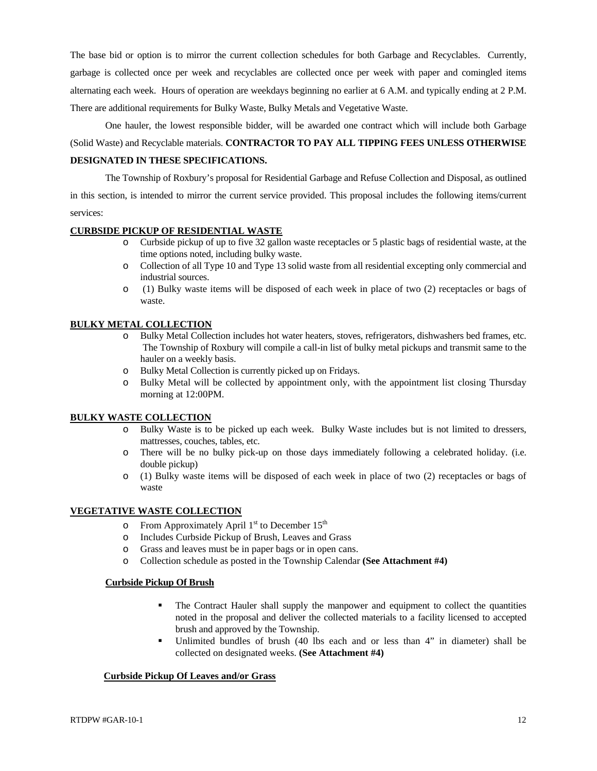The base bid or option is to mirror the current collection schedules for both Garbage and Recyclables. Currently, garbage is collected once per week and recyclables are collected once per week with paper and comingled items alternating each week. Hours of operation are weekdays beginning no earlier at 6 A.M. and typically ending at 2 P.M. There are additional requirements for Bulky Waste, Bulky Metals and Vegetative Waste.

 One hauler, the lowest responsible bidder, will be awarded one contract which will include both Garbage (Solid Waste) and Recyclable materials. **CONTRACTOR TO PAY ALL TIPPING FEES UNLESS OTHERWISE DESIGNATED IN THESE SPECIFICATIONS.**

 The Township of Roxbury's proposal for Residential Garbage and Refuse Collection and Disposal, as outlined in this section, is intended to mirror the current service provided. This proposal includes the following items/current services:

### **CURBSIDE PICKUP OF RESIDENTIAL WASTE**

- o Curbside pickup of up to five 32 gallon waste receptacles or 5 plastic bags of residential waste, at the time options noted, including bulky waste.
- o Collection of all Type 10 and Type 13 solid waste from all residential excepting only commercial and industrial sources.
- o (1) Bulky waste items will be disposed of each week in place of two (2) receptacles or bags of waste.

### **BULKY METAL COLLECTION**

- Bulky Metal Collection includes hot water heaters, stoves, refrigerators, dishwashers bed frames, etc. The Township of Roxbury will compile a call-in list of bulky metal pickups and transmit same to the hauler on a weekly basis.
- o Bulky Metal Collection is currently picked up on Fridays.
- o Bulky Metal will be collected by appointment only, with the appointment list closing Thursday morning at 12:00PM.

### **BULKY WASTE COLLECTION**

- o Bulky Waste is to be picked up each week. Bulky Waste includes but is not limited to dressers, mattresses, couches, tables, etc.
- o There will be no bulky pick-up on those days immediately following a celebrated holiday. (i.e. double pickup)
- o (1) Bulky waste items will be disposed of each week in place of two (2) receptacles or bags of waste

### **VEGETATIVE WASTE COLLECTION**

- o From Approximately April  $1<sup>st</sup>$  to December  $15<sup>th</sup>$
- o Includes Curbside Pickup of Brush, Leaves and Grass
- o Grass and leaves must be in paper bags or in open cans.
- o Collection schedule as posted in the Township Calendar **(See Attachment #4)**

### **Curbside Pickup Of Brush**

- The Contract Hauler shall supply the manpower and equipment to collect the quantities noted in the proposal and deliver the collected materials to a facility licensed to accepted brush and approved by the Township.
- Unlimited bundles of brush (40 lbs each and or less than 4" in diameter) shall be collected on designated weeks. **(See Attachment #4)**

### **Curbside Pickup Of Leaves and/or Grass**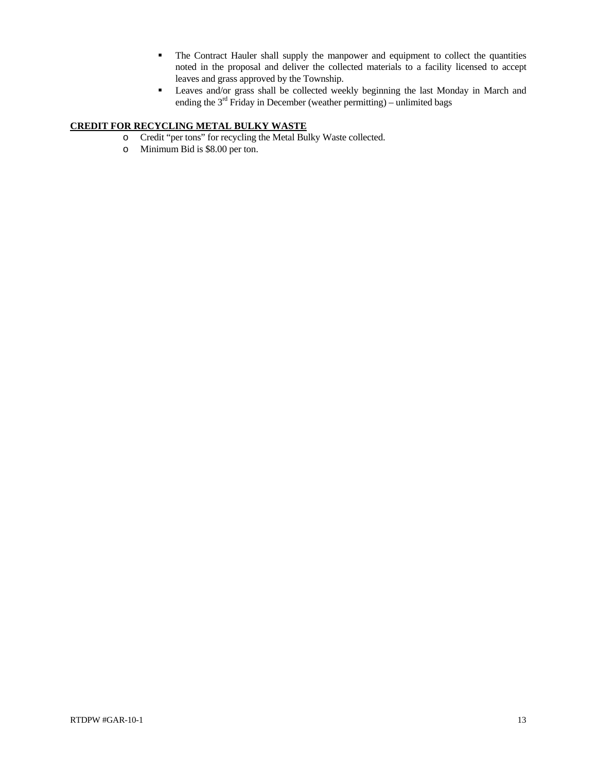- The Contract Hauler shall supply the manpower and equipment to collect the quantities noted in the proposal and deliver the collected materials to a facility licensed to accept leaves and grass approved by the Township.
- Leaves and/or grass shall be collected weekly beginning the last Monday in March and ending the  $3<sup>rd</sup>$  Friday in December (weather permitting) – unlimited bags

## **CREDIT FOR RECYCLING METAL BULKY WASTE**

- o Credit "per tons" for recycling the Metal Bulky Waste collected.
- o Minimum Bid is \$8.00 per ton.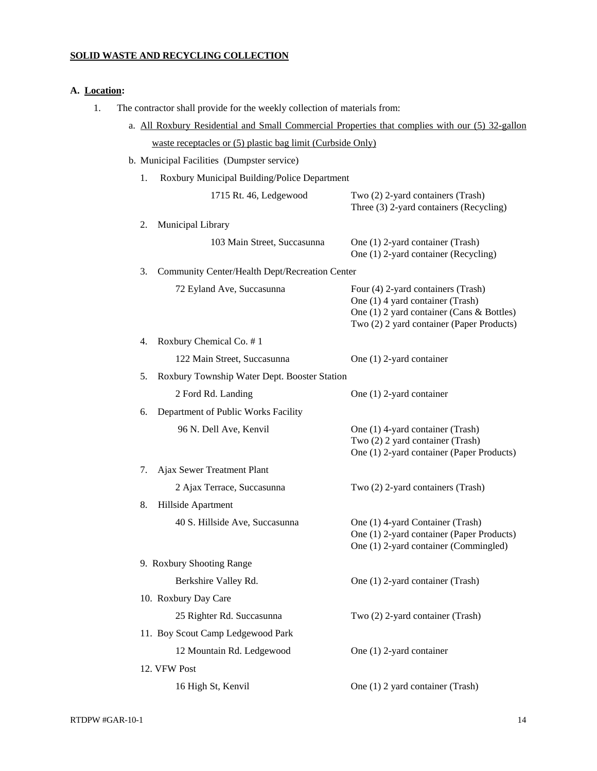## **SOLID WASTE AND RECYCLING COLLECTION**

## **A. Location:**

1. The contractor shall provide for the weekly collection of materials from:

| a. All Roxbury Residential and Small Commercial Properties that complies with our (5) 32-gallon |                                                                                                                                                                  |
|-------------------------------------------------------------------------------------------------|------------------------------------------------------------------------------------------------------------------------------------------------------------------|
| waste receptacles or (5) plastic bag limit (Curbside Only)                                      |                                                                                                                                                                  |
| b. Municipal Facilities (Dumpster service)                                                      |                                                                                                                                                                  |
| 1.<br>Roxbury Municipal Building/Police Department                                              |                                                                                                                                                                  |
| 1715 Rt. 46, Ledgewood                                                                          | Two (2) 2-yard containers (Trash)<br>Three (3) 2-yard containers (Recycling)                                                                                     |
| 2.<br>Municipal Library                                                                         |                                                                                                                                                                  |
| 103 Main Street, Succasunna                                                                     | One (1) 2-yard container (Trash)<br>One (1) 2-yard container (Recycling)                                                                                         |
| 3.<br>Community Center/Health Dept/Recreation Center                                            |                                                                                                                                                                  |
| 72 Eyland Ave, Succasunna                                                                       | Four (4) 2-yard containers (Trash)<br>One (1) 4 yard container (Trash)<br>One (1) 2 yard container (Cans & Bottles)<br>Two (2) 2 yard container (Paper Products) |
| Roxbury Chemical Co. #1<br>4.                                                                   |                                                                                                                                                                  |
| 122 Main Street, Succasunna                                                                     | One (1) 2-yard container                                                                                                                                         |
| 5.<br>Roxbury Township Water Dept. Booster Station                                              |                                                                                                                                                                  |
| 2 Ford Rd. Landing                                                                              | One (1) 2-yard container                                                                                                                                         |
| Department of Public Works Facility<br>6.                                                       |                                                                                                                                                                  |
| 96 N. Dell Ave, Kenvil                                                                          | One (1) 4-yard container (Trash)<br>Two (2) 2 yard container (Trash)<br>One (1) 2-yard container (Paper Products)                                                |
| 7.<br>Ajax Sewer Treatment Plant                                                                |                                                                                                                                                                  |
| 2 Ajax Terrace, Succasunna                                                                      | Two (2) 2-yard containers (Trash)                                                                                                                                |
| 8.<br>Hillside Apartment                                                                        |                                                                                                                                                                  |
| 40 S. Hillside Ave, Succasunna                                                                  | One (1) 4-yard Container (Trash)<br>One (1) 2-yard container (Paper Products)<br>One (1) 2-yard container (Commingled)                                           |
| 9. Roxbury Shooting Range                                                                       |                                                                                                                                                                  |
| Berkshire Valley Rd.                                                                            | One (1) 2-yard container (Trash)                                                                                                                                 |
| 10. Roxbury Day Care                                                                            |                                                                                                                                                                  |
| 25 Righter Rd. Succasunna                                                                       | Two (2) 2-yard container (Trash)                                                                                                                                 |
| 11. Boy Scout Camp Ledgewood Park                                                               |                                                                                                                                                                  |
| 12 Mountain Rd. Ledgewood                                                                       | One (1) 2-yard container                                                                                                                                         |
| 12. VFW Post                                                                                    |                                                                                                                                                                  |
| 16 High St, Kenvil                                                                              | One (1) 2 yard container (Trash)                                                                                                                                 |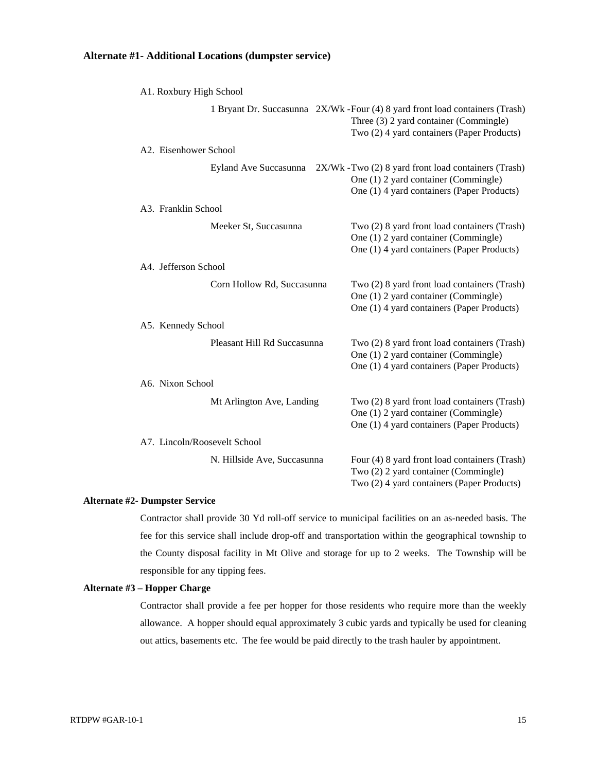### **Alternate #1- Additional Locations (dumpster service)**

| A1. Roxbury High School      |                             |                                                                                                                                                                       |
|------------------------------|-----------------------------|-----------------------------------------------------------------------------------------------------------------------------------------------------------------------|
|                              |                             | 1 Bryant Dr. Succasunna 2X/Wk - Four (4) 8 yard front load containers (Trash)<br>Three (3) 2 yard container (Commingle)<br>Two (2) 4 yard containers (Paper Products) |
| A2. Eisenhower School        |                             |                                                                                                                                                                       |
|                              |                             | Eyland Ave Succasunna 2X/Wk - Two (2) 8 yard front load containers (Trash)<br>One (1) 2 yard container (Commingle)<br>One (1) 4 yard containers (Paper Products)      |
| A3. Franklin School          |                             |                                                                                                                                                                       |
|                              | Meeker St, Succasunna       | Two (2) 8 yard front load containers (Trash)<br>One (1) 2 yard container (Commingle)<br>One (1) 4 yard containers (Paper Products)                                    |
| A4. Jefferson School         |                             |                                                                                                                                                                       |
|                              | Corn Hollow Rd, Succasunna  | Two (2) 8 yard front load containers (Trash)<br>One (1) 2 yard container (Commingle)<br>One (1) 4 yard containers (Paper Products)                                    |
| A5. Kennedy School           |                             |                                                                                                                                                                       |
|                              | Pleasant Hill Rd Succasunna | Two (2) 8 yard front load containers (Trash)<br>One (1) 2 yard container (Commingle)<br>One (1) 4 yard containers (Paper Products)                                    |
| A6. Nixon School             |                             |                                                                                                                                                                       |
|                              | Mt Arlington Ave, Landing   | Two (2) 8 yard front load containers (Trash)<br>One (1) 2 yard container (Commingle)<br>One (1) 4 yard containers (Paper Products)                                    |
| A7. Lincoln/Roosevelt School |                             |                                                                                                                                                                       |
|                              | N. Hillside Ave, Succasunna | Four (4) 8 yard front load containers (Trash)<br>Two (2) 2 yard container (Commingle)<br>Two (2) 4 yard containers (Paper Products)                                   |

### **Alternate #2- Dumpster Service**

Contractor shall provide 30 Yd roll-off service to municipal facilities on an as-needed basis. The fee for this service shall include drop-off and transportation within the geographical township to the County disposal facility in Mt Olive and storage for up to 2 weeks. The Township will be responsible for any tipping fees.

### **Alternate #3 – Hopper Charge**

Contractor shall provide a fee per hopper for those residents who require more than the weekly allowance. A hopper should equal approximately 3 cubic yards and typically be used for cleaning out attics, basements etc. The fee would be paid directly to the trash hauler by appointment.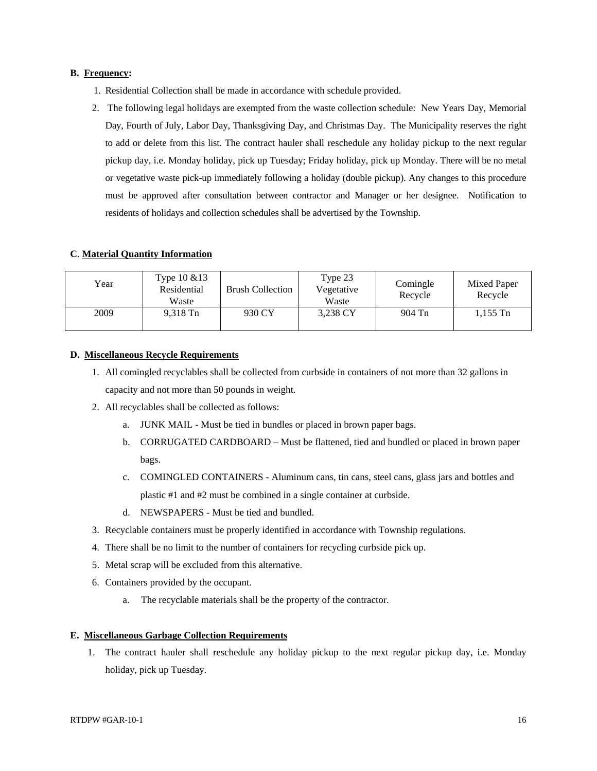### **B. Frequency:**

- 1. Residential Collection shall be made in accordance with schedule provided.
- 2. The following legal holidays are exempted from the waste collection schedule: New Years Day, Memorial Day, Fourth of July, Labor Day, Thanksgiving Day, and Christmas Day. The Municipality reserves the right to add or delete from this list. The contract hauler shall reschedule any holiday pickup to the next regular pickup day, i.e. Monday holiday, pick up Tuesday; Friday holiday, pick up Monday. There will be no metal or vegetative waste pick-up immediately following a holiday (double pickup). Any changes to this procedure must be approved after consultation between contractor and Manager or her designee. Notification to residents of holidays and collection schedules shall be advertised by the Township.

### **C**. **Material Quantity Information**

| Year | Type $10 \& 13$<br>Residential<br>Waste | <b>Brush Collection</b> | Type 23<br>Vegetative<br>Waste | Comingle<br>Recycle | Mixed Paper<br>Recycle |
|------|-----------------------------------------|-------------------------|--------------------------------|---------------------|------------------------|
| 2009 | 9,318 Tn                                | 930 CY                  | 3,238 CY                       | 904 Tn              | $1,155$ Tn             |

### **D. Miscellaneous Recycle Requirements**

- 1. All comingled recyclables shall be collected from curbside in containers of not more than 32 gallons in capacity and not more than 50 pounds in weight.
- 2. All recyclables shall be collected as follows:
	- a. JUNK MAIL Must be tied in bundles or placed in brown paper bags.
	- b. CORRUGATED CARDBOARD Must be flattened, tied and bundled or placed in brown paper bags.
	- c. COMINGLED CONTAINERS Aluminum cans, tin cans, steel cans, glass jars and bottles and plastic #1 and #2 must be combined in a single container at curbside.
	- d. NEWSPAPERS Must be tied and bundled.
- 3. Recyclable containers must be properly identified in accordance with Township regulations.
- 4. There shall be no limit to the number of containers for recycling curbside pick up.
- 5. Metal scrap will be excluded from this alternative.
- 6. Containers provided by the occupant.
	- a. The recyclable materials shall be the property of the contractor.

### **E. Miscellaneous Garbage Collection Requirements**

1. The contract hauler shall reschedule any holiday pickup to the next regular pickup day, i.e. Monday holiday, pick up Tuesday.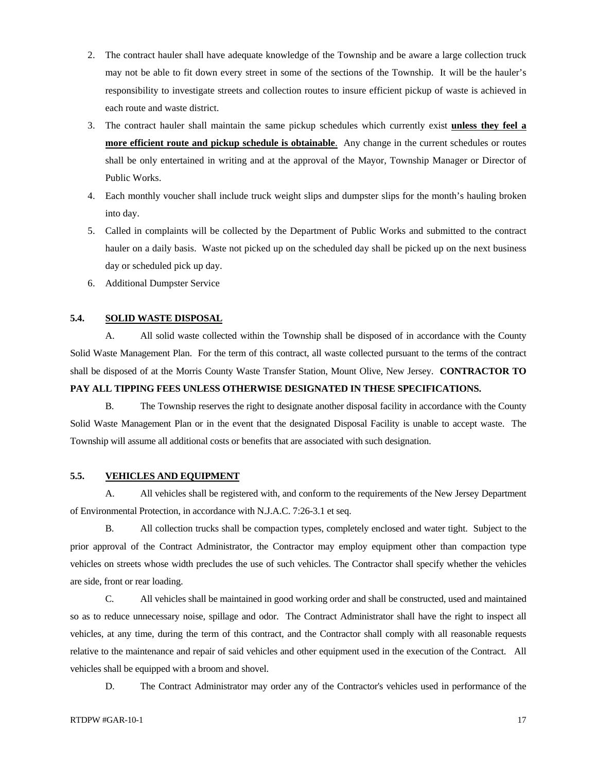- 2. The contract hauler shall have adequate knowledge of the Township and be aware a large collection truck may not be able to fit down every street in some of the sections of the Township. It will be the hauler's responsibility to investigate streets and collection routes to insure efficient pickup of waste is achieved in each route and waste district.
- 3. The contract hauler shall maintain the same pickup schedules which currently exist **unless they feel a more efficient route and pickup schedule is obtainable**. Any change in the current schedules or routes shall be only entertained in writing and at the approval of the Mayor, Township Manager or Director of Public Works.
- 4. Each monthly voucher shall include truck weight slips and dumpster slips for the month's hauling broken into day.
- 5. Called in complaints will be collected by the Department of Public Works and submitted to the contract hauler on a daily basis. Waste not picked up on the scheduled day shall be picked up on the next business day or scheduled pick up day.
- 6. Additional Dumpster Service

### **5.4. SOLID WASTE DISPOSAL**

 A. All solid waste collected within the Township shall be disposed of in accordance with the County Solid Waste Management Plan. For the term of this contract, all waste collected pursuant to the terms of the contract shall be disposed of at the Morris County Waste Transfer Station, Mount Olive, New Jersey. **CONTRACTOR TO PAY ALL TIPPING FEES UNLESS OTHERWISE DESIGNATED IN THESE SPECIFICATIONS.**

 B. The Township reserves the right to designate another disposal facility in accordance with the County Solid Waste Management Plan or in the event that the designated Disposal Facility is unable to accept waste. The Township will assume all additional costs or benefits that are associated with such designation.

### **5.5. VEHICLES AND EQUIPMENT**

 A. All vehicles shall be registered with, and conform to the requirements of the New Jersey Department of Environmental Protection, in accordance with N.J.A.C. 7:26-3.1 et seq.

 B. All collection trucks shall be compaction types, completely enclosed and water tight. Subject to the prior approval of the Contract Administrator, the Contractor may employ equipment other than compaction type vehicles on streets whose width precludes the use of such vehicles. The Contractor shall specify whether the vehicles are side, front or rear loading.

 C. All vehicles shall be maintained in good working order and shall be constructed, used and maintained so as to reduce unnecessary noise, spillage and odor. The Contract Administrator shall have the right to inspect all vehicles, at any time, during the term of this contract, and the Contractor shall comply with all reasonable requests relative to the maintenance and repair of said vehicles and other equipment used in the execution of the Contract. All vehicles shall be equipped with a broom and shovel.

D. The Contract Administrator may order any of the Contractor's vehicles used in performance of the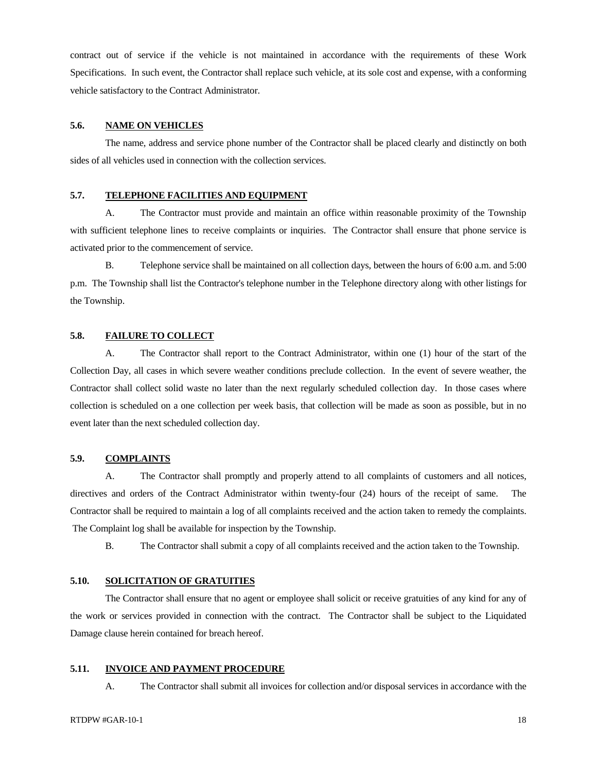contract out of service if the vehicle is not maintained in accordance with the requirements of these Work Specifications. In such event, the Contractor shall replace such vehicle, at its sole cost and expense, with a conforming vehicle satisfactory to the Contract Administrator.

### **5.6. NAME ON VEHICLES**

 The name, address and service phone number of the Contractor shall be placed clearly and distinctly on both sides of all vehicles used in connection with the collection services.

### **5.7. TELEPHONE FACILITIES AND EQUIPMENT**

 A. The Contractor must provide and maintain an office within reasonable proximity of the Township with sufficient telephone lines to receive complaints or inquiries. The Contractor shall ensure that phone service is activated prior to the commencement of service.

 B. Telephone service shall be maintained on all collection days, between the hours of 6:00 a.m. and 5:00 p.m. The Township shall list the Contractor's telephone number in the Telephone directory along with other listings for the Township.

### **5.8. FAILURE TO COLLECT**

 A. The Contractor shall report to the Contract Administrator, within one (1) hour of the start of the Collection Day, all cases in which severe weather conditions preclude collection. In the event of severe weather, the Contractor shall collect solid waste no later than the next regularly scheduled collection day. In those cases where collection is scheduled on a one collection per week basis, that collection will be made as soon as possible, but in no event later than the next scheduled collection day.

### **5.9. COMPLAINTS**

 A. The Contractor shall promptly and properly attend to all complaints of customers and all notices, directives and orders of the Contract Administrator within twenty-four (24) hours of the receipt of same. The Contractor shall be required to maintain a log of all complaints received and the action taken to remedy the complaints. The Complaint log shall be available for inspection by the Township.

B. The Contractor shall submit a copy of all complaints received and the action taken to the Township.

### **5.10. SOLICITATION OF GRATUITIES**

 The Contractor shall ensure that no agent or employee shall solicit or receive gratuities of any kind for any of the work or services provided in connection with the contract. The Contractor shall be subject to the Liquidated Damage clause herein contained for breach hereof.

### **5.11. INVOICE AND PAYMENT PROCEDURE**

A. The Contractor shall submit all invoices for collection and/or disposal services in accordance with the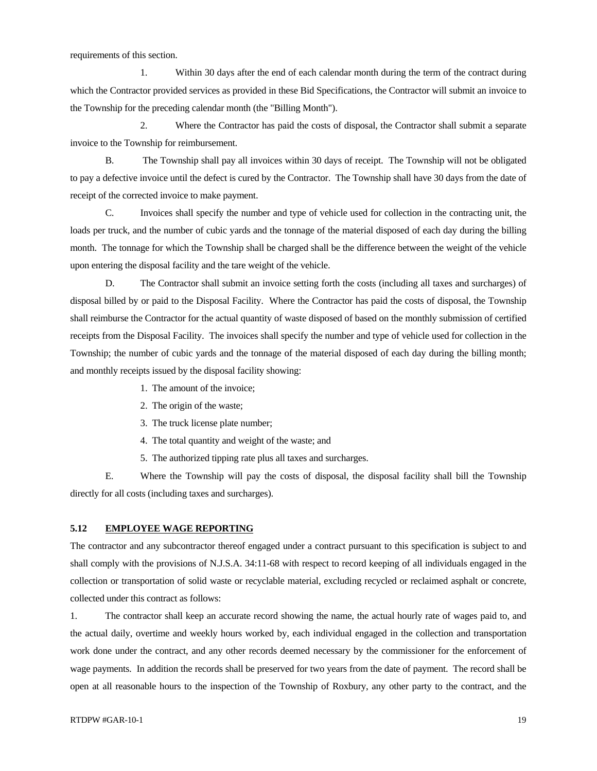requirements of this section.

 1. Within 30 days after the end of each calendar month during the term of the contract during which the Contractor provided services as provided in these Bid Specifications, the Contractor will submit an invoice to the Township for the preceding calendar month (the "Billing Month").

 2. Where the Contractor has paid the costs of disposal, the Contractor shall submit a separate invoice to the Township for reimbursement.

 B. The Township shall pay all invoices within 30 days of receipt. The Township will not be obligated to pay a defective invoice until the defect is cured by the Contractor. The Township shall have 30 days from the date of receipt of the corrected invoice to make payment.

 C. Invoices shall specify the number and type of vehicle used for collection in the contracting unit, the loads per truck, and the number of cubic yards and the tonnage of the material disposed of each day during the billing month. The tonnage for which the Township shall be charged shall be the difference between the weight of the vehicle upon entering the disposal facility and the tare weight of the vehicle.

 D. The Contractor shall submit an invoice setting forth the costs (including all taxes and surcharges) of disposal billed by or paid to the Disposal Facility. Where the Contractor has paid the costs of disposal, the Township shall reimburse the Contractor for the actual quantity of waste disposed of based on the monthly submission of certified receipts from the Disposal Facility. The invoices shall specify the number and type of vehicle used for collection in the Township; the number of cubic yards and the tonnage of the material disposed of each day during the billing month; and monthly receipts issued by the disposal facility showing:

- 1. The amount of the invoice;
- 2. The origin of the waste;
- 3. The truck license plate number;
- 4. The total quantity and weight of the waste; and
- 5. The authorized tipping rate plus all taxes and surcharges.

 E. Where the Township will pay the costs of disposal, the disposal facility shall bill the Township directly for all costs (including taxes and surcharges).

### **5.12 EMPLOYEE WAGE REPORTING**

The contractor and any subcontractor thereof engaged under a contract pursuant to this specification is subject to and shall comply with the provisions of N.J.S.A. 34:11-68 with respect to record keeping of all individuals engaged in the collection or transportation of solid waste or recyclable material, excluding recycled or reclaimed asphalt or concrete, collected under this contract as follows:

1. The contractor shall keep an accurate record showing the name, the actual hourly rate of wages paid to, and the actual daily, overtime and weekly hours worked by, each individual engaged in the collection and transportation work done under the contract, and any other records deemed necessary by the commissioner for the enforcement of wage payments. In addition the records shall be preserved for two years from the date of payment. The record shall be open at all reasonable hours to the inspection of the Township of Roxbury, any other party to the contract, and the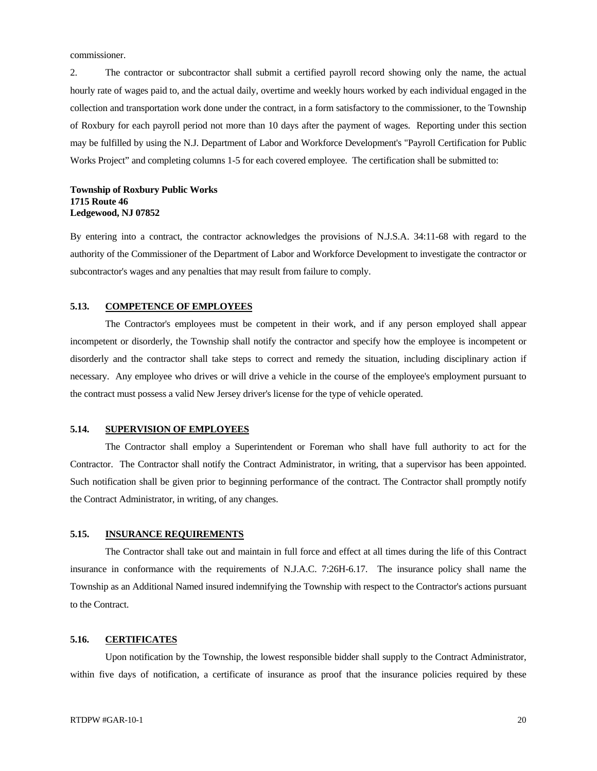commissioner.

2. The contractor or subcontractor shall submit a certified payroll record showing only the name, the actual hourly rate of wages paid to, and the actual daily, overtime and weekly hours worked by each individual engaged in the collection and transportation work done under the contract, in a form satisfactory to the commissioner, to the Township of Roxbury for each payroll period not more than 10 days after the payment of wages. Reporting under this section may be fulfilled by using the N.J. Department of Labor and Workforce Development's "Payroll Certification for Public Works Project" and completing columns 1-5 for each covered employee. The certification shall be submitted to:

### **Township of Roxbury Public Works 1715 Route 46 Ledgewood, NJ 07852**

By entering into a contract, the contractor acknowledges the provisions of N.J.S.A. 34:11-68 with regard to the authority of the Commissioner of the Department of Labor and Workforce Development to investigate the contractor or subcontractor's wages and any penalties that may result from failure to comply.

### **5.13. COMPETENCE OF EMPLOYEES**

 The Contractor's employees must be competent in their work, and if any person employed shall appear incompetent or disorderly, the Township shall notify the contractor and specify how the employee is incompetent or disorderly and the contractor shall take steps to correct and remedy the situation, including disciplinary action if necessary. Any employee who drives or will drive a vehicle in the course of the employee's employment pursuant to the contract must possess a valid New Jersey driver's license for the type of vehicle operated.

### **5.14. SUPERVISION OF EMPLOYEES**

 The Contractor shall employ a Superintendent or Foreman who shall have full authority to act for the Contractor. The Contractor shall notify the Contract Administrator, in writing, that a supervisor has been appointed. Such notification shall be given prior to beginning performance of the contract. The Contractor shall promptly notify the Contract Administrator, in writing, of any changes.

### **5.15. INSURANCE REQUIREMENTS**

 The Contractor shall take out and maintain in full force and effect at all times during the life of this Contract insurance in conformance with the requirements of N.J.A.C. 7:26H-6.17. The insurance policy shall name the Township as an Additional Named insured indemnifying the Township with respect to the Contractor's actions pursuant to the Contract.

### **5.16. CERTIFICATES**

 Upon notification by the Township, the lowest responsible bidder shall supply to the Contract Administrator, within five days of notification, a certificate of insurance as proof that the insurance policies required by these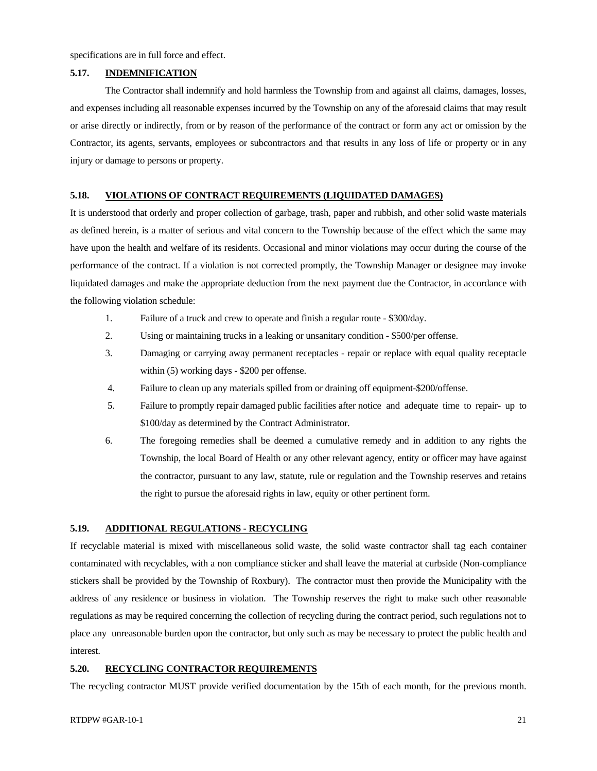specifications are in full force and effect.

### **5.17. INDEMNIFICATION**

 The Contractor shall indemnify and hold harmless the Township from and against all claims, damages, losses, and expenses including all reasonable expenses incurred by the Township on any of the aforesaid claims that may result or arise directly or indirectly, from or by reason of the performance of the contract or form any act or omission by the Contractor, its agents, servants, employees or subcontractors and that results in any loss of life or property or in any injury or damage to persons or property.

### **5.18. VIOLATIONS OF CONTRACT REQUIREMENTS (LIQUIDATED DAMAGES)**

It is understood that orderly and proper collection of garbage, trash, paper and rubbish, and other solid waste materials as defined herein, is a matter of serious and vital concern to the Township because of the effect which the same may have upon the health and welfare of its residents. Occasional and minor violations may occur during the course of the performance of the contract. If a violation is not corrected promptly, the Township Manager or designee may invoke liquidated damages and make the appropriate deduction from the next payment due the Contractor, in accordance with the following violation schedule:

- 1. Failure of a truck and crew to operate and finish a regular route \$300/day.
- 2. Using or maintaining trucks in a leaking or unsanitary condition \$500/per offense.
- 3. Damaging or carrying away permanent receptacles repair or replace with equal quality receptacle within (5) working days - \$200 per offense.
- 4. Failure to clean up any materials spilled from or draining off equipment-\$200/offense.
- 5. Failure to promptly repair damaged public facilities after notice and adequate time to repair- up to \$100/day as determined by the Contract Administrator.
- 6. The foregoing remedies shall be deemed a cumulative remedy and in addition to any rights the Township, the local Board of Health or any other relevant agency, entity or officer may have against the contractor, pursuant to any law, statute, rule or regulation and the Township reserves and retains the right to pursue the aforesaid rights in law, equity or other pertinent form.

### **5.19. ADDITIONAL REGULATIONS - RECYCLING**

If recyclable material is mixed with miscellaneous solid waste, the solid waste contractor shall tag each container contaminated with recyclables, with a non compliance sticker and shall leave the material at curbside (Non-compliance stickers shall be provided by the Township of Roxbury). The contractor must then provide the Municipality with the address of any residence or business in violation. The Township reserves the right to make such other reasonable regulations as may be required concerning the collection of recycling during the contract period, such regulations not to place any unreasonable burden upon the contractor, but only such as may be necessary to protect the public health and interest.

### **5.20. RECYCLING CONTRACTOR REQUIREMENTS**

The recycling contractor MUST provide verified documentation by the 15th of each month, for the previous month.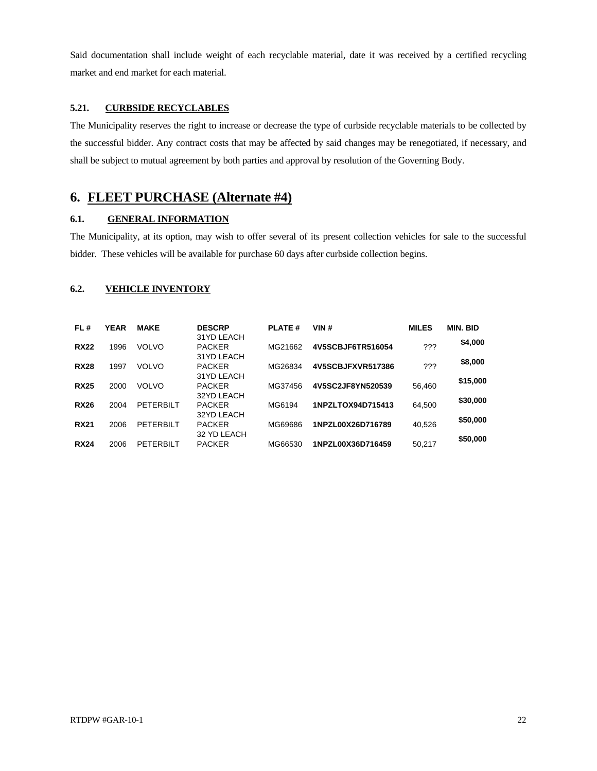Said documentation shall include weight of each recyclable material, date it was received by a certified recycling market and end market for each material.

### **5.21. CURBSIDE RECYCLABLES**

The Municipality reserves the right to increase or decrease the type of curbside recyclable materials to be collected by the successful bidder. Any contract costs that may be affected by said changes may be renegotiated, if necessary, and shall be subject to mutual agreement by both parties and approval by resolution of the Governing Body.

# **6. FLEET PURCHASE (Alternate #4)**

### **6.1. GENERAL INFORMATION**

The Municipality, at its option, may wish to offer several of its present collection vehicles for sale to the successful bidder. These vehicles will be available for purchase 60 days after curbside collection begins.

### **6.2. VEHICLE INVENTORY**

| FL#         | <b>YEAR</b> | <b>MAKE</b>  | <b>DESCRP</b>                             | <b>PLATE#</b> | VIN#              | <b>MILES</b> | <b>MIN. BID</b> |
|-------------|-------------|--------------|-------------------------------------------|---------------|-------------------|--------------|-----------------|
| <b>RX22</b> | 1996        | <b>VOLVO</b> | 31YD LEACH<br><b>PACKER</b><br>31YD LEACH | MG21662       | 4V5SCBJF6TR516054 | ???          | \$4,000         |
| <b>RX28</b> | 1997        | <b>VOLVO</b> | <b>PACKER</b><br>31YD LEACH               | MG26834       | 4V5SCBJFXVR517386 | ???          | \$8,000         |
| <b>RX25</b> | 2000        | <b>VOLVO</b> | <b>PACKER</b><br>32YD LEACH               | MG37456       | 4V5SC2JF8YN520539 | 56,460       | \$15,000        |
| <b>RX26</b> | 2004        | PETERBILT    | <b>PACKER</b><br>32YD LEACH               | MG6194        | 1NPZLTOX94D715413 | 64.500       | \$30,000        |
| <b>RX21</b> | 2006        | PETERBILT    | <b>PACKER</b><br>32 YD LEACH              | MG69686       | 1NPZL00X26D716789 | 40.526       | \$50,000        |
| <b>RX24</b> | 2006        | PETERBILT    | <b>PACKER</b>                             | MG66530       | 1NPZL00X36D716459 | 50,217       | \$50,000        |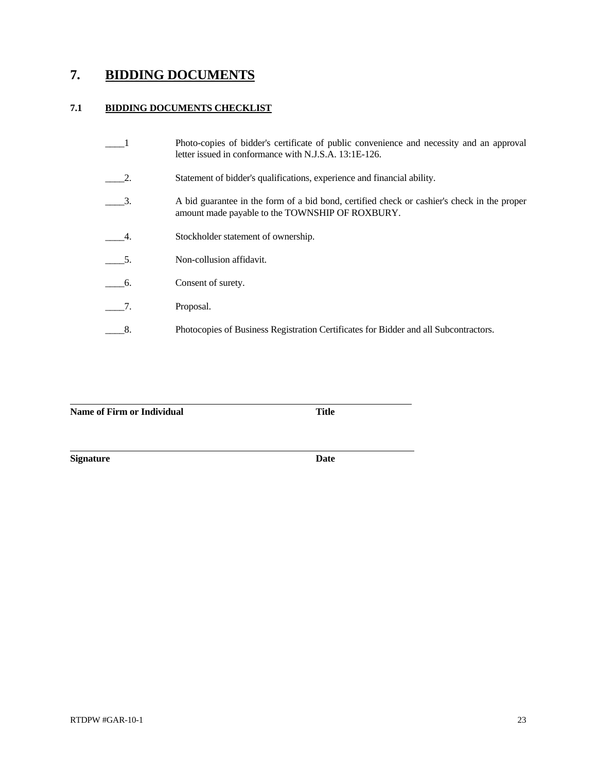# **7. BIDDING DOCUMENTS**

## **7.1 BIDDING DOCUMENTS CHECKLIST**

|    | Photo-copies of bidder's certificate of public convenience and necessity and an approval<br>letter issued in conformance with N.J.S.A. 13:1E-126. |
|----|---------------------------------------------------------------------------------------------------------------------------------------------------|
| 2. | Statement of bidder's qualifications, experience and financial ability.                                                                           |
| 3. | A bid guarantee in the form of a bid bond, certified check or cashier's check in the proper<br>amount made payable to the TOWNSHIP OF ROXBURY.    |
| 4. | Stockholder statement of ownership.                                                                                                               |
| 5. | Non-collusion affidavit.                                                                                                                          |
| 6. | Consent of surety.                                                                                                                                |
| 7. | Proposal.                                                                                                                                         |
| 8. | Photocopies of Business Registration Certificates for Bidder and all Subcontractors.                                                              |

**Name of Firm or Individual**  Title

**Signature** Date

 $\overline{a}$ 

 $\overline{a}$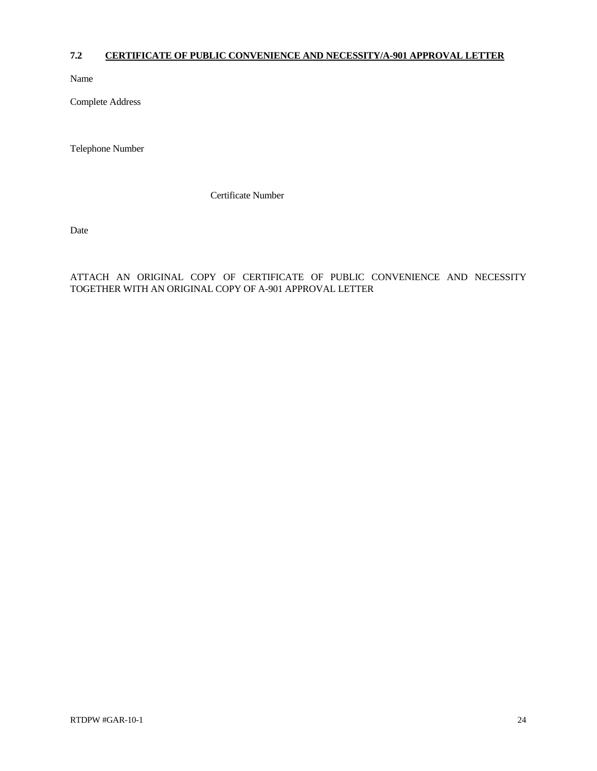## **7.2 CERTIFICATE OF PUBLIC CONVENIENCE AND NECESSITY/A-901 APPROVAL LETTER**

Name

Complete Address

Telephone Number

Certificate Number

Date

ATTACH AN ORIGINAL COPY OF CERTIFICATE OF PUBLIC CONVENIENCE AND NECESSITY TOGETHER WITH AN ORIGINAL COPY OF A-901 APPROVAL LETTER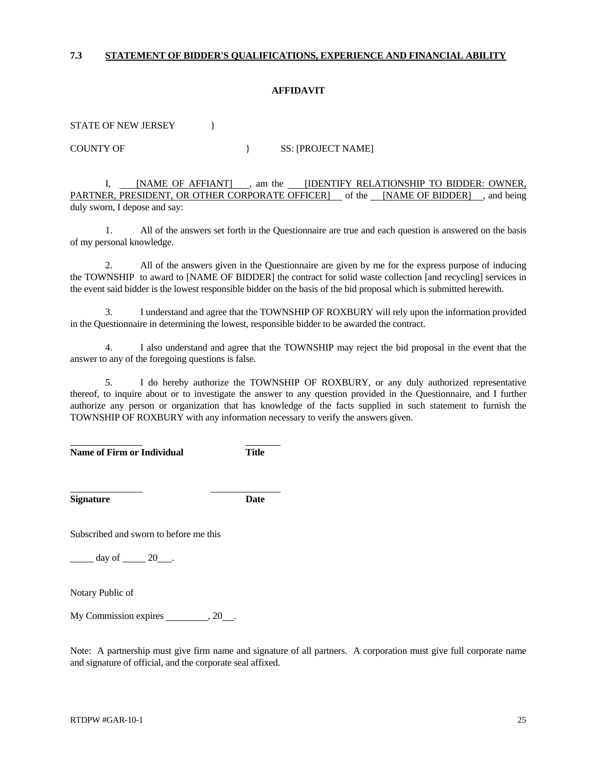### **7.3 STATEMENT OF BIDDER'S QUALIFICATIONS, EXPERIENCE AND FINANCIAL ABILITY**

### **AFFIDAVIT**

STATE OF NEW JERSEY  $\vert$ 

COUNTY OF SS: [PROJECT NAME]

 I, [NAME OF AFFIANT] , am the [IDENTIFY RELATIONSHIP TO BIDDER: OWNER, PARTNER, PRESIDENT, OR OTHER CORPORATE OFFICER] of the [NAME OF BIDDER] , and being duly sworn, I depose and say:

 1. All of the answers set forth in the Questionnaire are true and each question is answered on the basis of my personal knowledge.

 2. All of the answers given in the Questionnaire are given by me for the express purpose of inducing the TOWNSHIP to award to [NAME OF BIDDER] the contract for solid waste collection [and recycling] services in the event said bidder is the lowest responsible bidder on the basis of the bid proposal which is submitted herewith.

 3. I understand and agree that the TOWNSHIP OF ROXBURY will rely upon the information provided in the Questionnaire in determining the lowest, responsible bidder to be awarded the contract.

 4. I also understand and agree that the TOWNSHIP may reject the bid proposal in the event that the answer to any of the foregoing questions is false.

 5. I do hereby authorize the TOWNSHIP OF ROXBURY, or any duly authorized representative thereof, to inquire about or to investigate the answer to any question provided in the Questionnaire, and I further authorize any person or organization that has knowledge of the facts supplied in such statement to furnish the TOWNSHIP OF ROXBURY with any information necessary to verify the answers given.

**Name of Firm or Individual Title** 

**Signature Date**

l

 $\overline{a}$ 

Subscribed and sworn to before me this

day of 20 .

Notary Public of

My Commission expires , 20 .

Note: A partnership must give firm name and signature of all partners. A corporation must give full corporate name and signature of official, and the corporate seal affixed.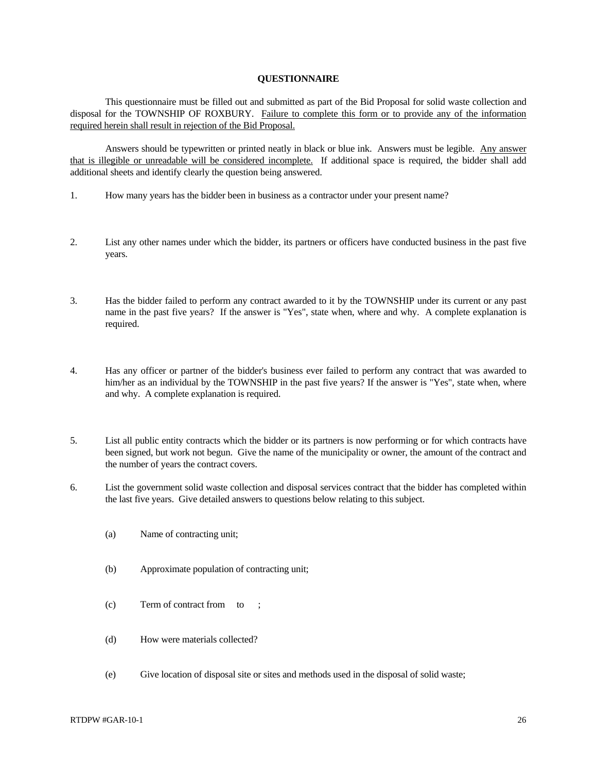### **QUESTIONNAIRE**

 This questionnaire must be filled out and submitted as part of the Bid Proposal for solid waste collection and disposal for the TOWNSHIP OF ROXBURY. Failure to complete this form or to provide any of the information required herein shall result in rejection of the Bid Proposal.

 Answers should be typewritten or printed neatly in black or blue ink. Answers must be legible. Any answer that is illegible or unreadable will be considered incomplete. If additional space is required, the bidder shall add additional sheets and identify clearly the question being answered.

- 1. How many years has the bidder been in business as a contractor under your present name?
- 2. List any other names under which the bidder, its partners or officers have conducted business in the past five years.
- 3. Has the bidder failed to perform any contract awarded to it by the TOWNSHIP under its current or any past name in the past five years? If the answer is "Yes", state when, where and why. A complete explanation is required.
- 4. Has any officer or partner of the bidder's business ever failed to perform any contract that was awarded to him/her as an individual by the TOWNSHIP in the past five years? If the answer is "Yes", state when, where and why. A complete explanation is required.
- 5. List all public entity contracts which the bidder or its partners is now performing or for which contracts have been signed, but work not begun. Give the name of the municipality or owner, the amount of the contract and the number of years the contract covers.
- 6. List the government solid waste collection and disposal services contract that the bidder has completed within the last five years. Give detailed answers to questions below relating to this subject.
	- (a) Name of contracting unit;
	- (b) Approximate population of contracting unit;
	- (c) Term of contract from to ;
	- (d) How were materials collected?
	- (e) Give location of disposal site or sites and methods used in the disposal of solid waste;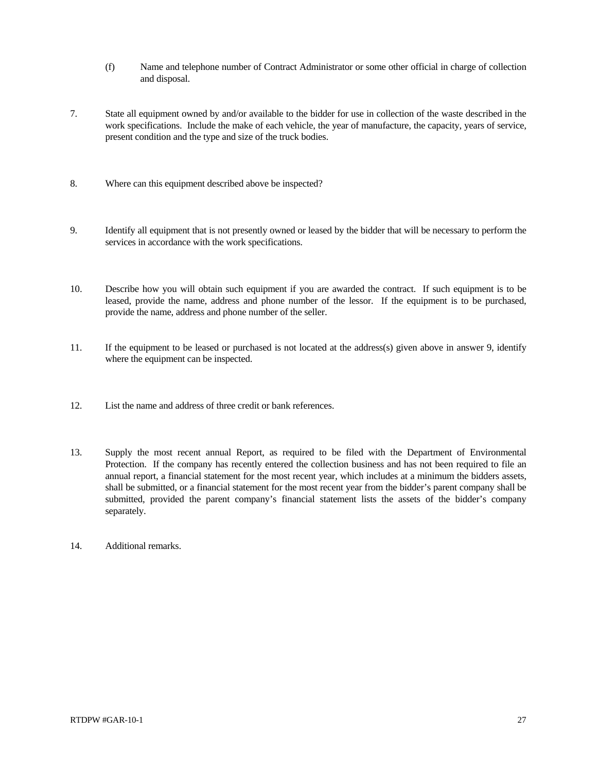- (f) Name and telephone number of Contract Administrator or some other official in charge of collection and disposal.
- 7. State all equipment owned by and/or available to the bidder for use in collection of the waste described in the work specifications. Include the make of each vehicle, the year of manufacture, the capacity, years of service, present condition and the type and size of the truck bodies.
- 8. Where can this equipment described above be inspected?
- 9. Identify all equipment that is not presently owned or leased by the bidder that will be necessary to perform the services in accordance with the work specifications.
- 10. Describe how you will obtain such equipment if you are awarded the contract. If such equipment is to be leased, provide the name, address and phone number of the lessor. If the equipment is to be purchased, provide the name, address and phone number of the seller.
- 11. If the equipment to be leased or purchased is not located at the address(s) given above in answer 9, identify where the equipment can be inspected.
- 12. List the name and address of three credit or bank references.
- 13. Supply the most recent annual Report, as required to be filed with the Department of Environmental Protection. If the company has recently entered the collection business and has not been required to file an annual report, a financial statement for the most recent year, which includes at a minimum the bidders assets, shall be submitted, or a financial statement for the most recent year from the bidder's parent company shall be submitted, provided the parent company's financial statement lists the assets of the bidder's company separately.
- 14. Additional remarks.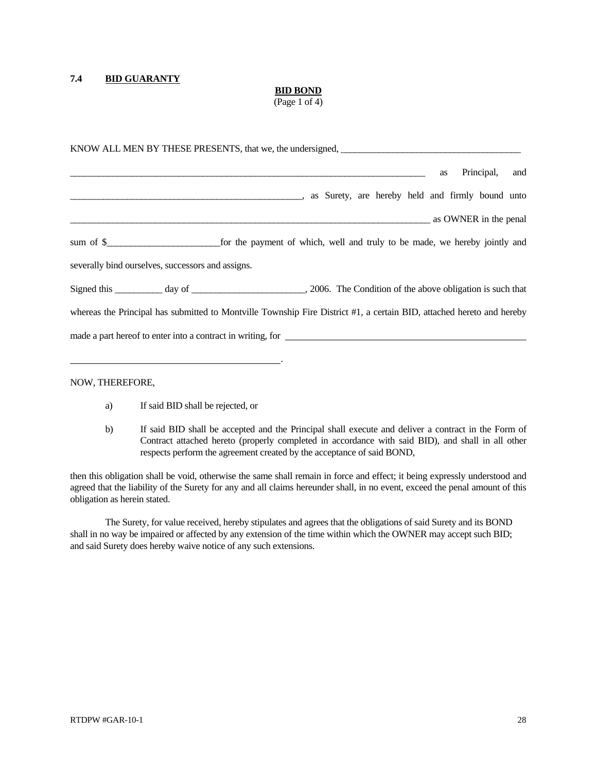### **7.4 BID GUARANTY**

### **BID BOND**

(Page 1 of 4)

|                                                   | KNOW ALL MEN BY THESE PRESENTS, that we, the undersigned,                                                             |
|---------------------------------------------------|-----------------------------------------------------------------------------------------------------------------------|
|                                                   | Principal,<br>and<br>as                                                                                               |
|                                                   | as Surety, are hereby held and firmly bound unto                                                                      |
|                                                   | as OWNER in the penal                                                                                                 |
|                                                   |                                                                                                                       |
| severally bind ourselves, successors and assigns. |                                                                                                                       |
|                                                   |                                                                                                                       |
|                                                   | whereas the Principal has submitted to Montville Township Fire District #1, a certain BID, attached hereto and hereby |
|                                                   | made a part hereof to enter into a contract in writing, for                                                           |
|                                                   |                                                                                                                       |

NOW, THEREFORE,

- a) If said BID shall be rejected, or
- b) If said BID shall be accepted and the Principal shall execute and deliver a contract in the Form of Contract attached hereto (properly completed in accordance with said BID), and shall in all other respects perform the agreement created by the acceptance of said BOND,

then this obligation shall be void, otherwise the same shall remain in force and effect; it being expressly understood and agreed that the liability of the Surety for any and all claims hereunder shall, in no event, exceed the penal amount of this obligation as herein stated.

 The Surety, for value received, hereby stipulates and agrees that the obligations of said Surety and its BOND shall in no way be impaired or affected by any extension of the time within which the OWNER may accept such BID; and said Surety does hereby waive notice of any such extensions.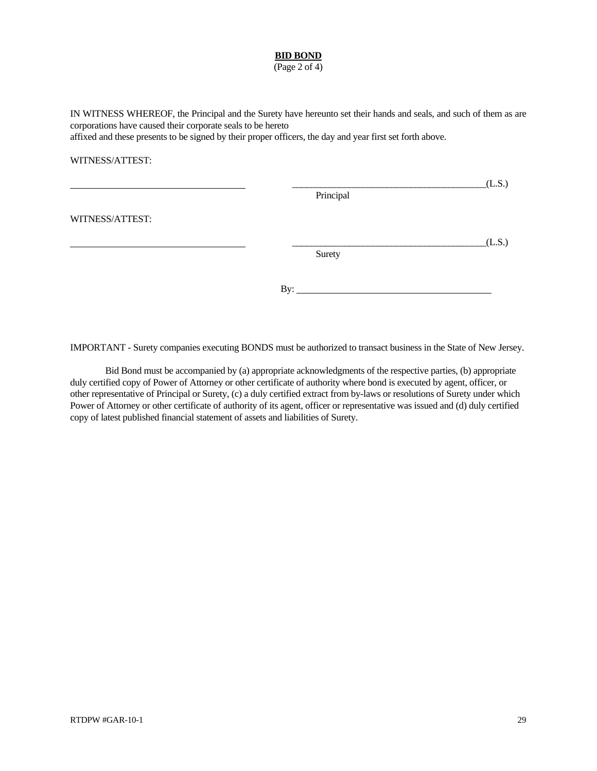### **BID BOND**

(Page 2 of 4)

IN WITNESS WHEREOF, the Principal and the Surety have hereunto set their hands and seals, and such of them as are corporations have caused their corporate seals to be hereto

affixed and these presents to be signed by their proper officers, the day and year first set forth above.

### WITNESS/ATTEST:

|                 |           | (L.S.) |
|-----------------|-----------|--------|
|                 | Principal |        |
| WITNESS/ATTEST: |           |        |
|                 |           | (L.S.) |
|                 | Surety    |        |
|                 |           |        |
|                 | By:       |        |

IMPORTANT - Surety companies executing BONDS must be authorized to transact business in the State of New Jersey.

 Bid Bond must be accompanied by (a) appropriate acknowledgments of the respective parties, (b) appropriate duly certified copy of Power of Attorney or other certificate of authority where bond is executed by agent, officer, or other representative of Principal or Surety, (c) a duly certified extract from by-laws or resolutions of Surety under which Power of Attorney or other certificate of authority of its agent, officer or representative was issued and (d) duly certified copy of latest published financial statement of assets and liabilities of Surety.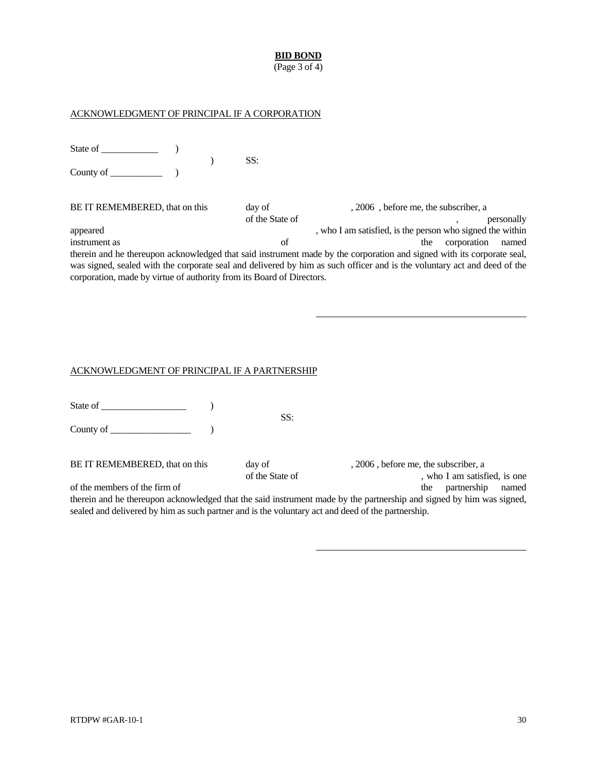### **BID BOND**

(Page 3 of 4)

### ACKNOWLEDGMENT OF PRINCIPAL IF A CORPORATION

State of  $\qquad \qquad$  )  $)$  SS: County of \_\_\_\_\_\_\_\_\_\_\_ )

BE IT REMEMBERED, that on this day of , 2006, before me, the subscriber, a of the State of  $\qquad \qquad$ , personally appeared , who I am satisfied, is the person who signed the within instrument as of the corporation named the corporation named the corporation named the corporation named the corporation named the corporation named the corporation named the corporation named the corporation named the cor therein and he thereupon acknowledged that said instrument made by the corporation and signed with its corporate seal, was signed, sealed with the corporate seal and delivered by him as such officer and is the voluntary act and deed of the corporation, made by virtue of authority from its Board of Directors.

### ACKNOWLEDGMENT OF PRINCIPAL IF A PARTNERSHIP

|                                                                                                   | SS:                       |                                                                                                                      |
|---------------------------------------------------------------------------------------------------|---------------------------|----------------------------------------------------------------------------------------------------------------------|
|                                                                                                   |                           |                                                                                                                      |
| BE IT REMEMBERED, that on this                                                                    | day of<br>of the State of | 2006, before me, the subscriber, a<br>, who I am satisfied, is one                                                   |
| of the members of the firm of                                                                     |                           | partnership<br>named<br>the                                                                                          |
|                                                                                                   |                           | therein and he thereupon acknowledged that the said instrument made by the partnership and signed by him was signed, |
| sealed and delivered by him as such partner and is the voluntary act and deed of the partnership. |                           |                                                                                                                      |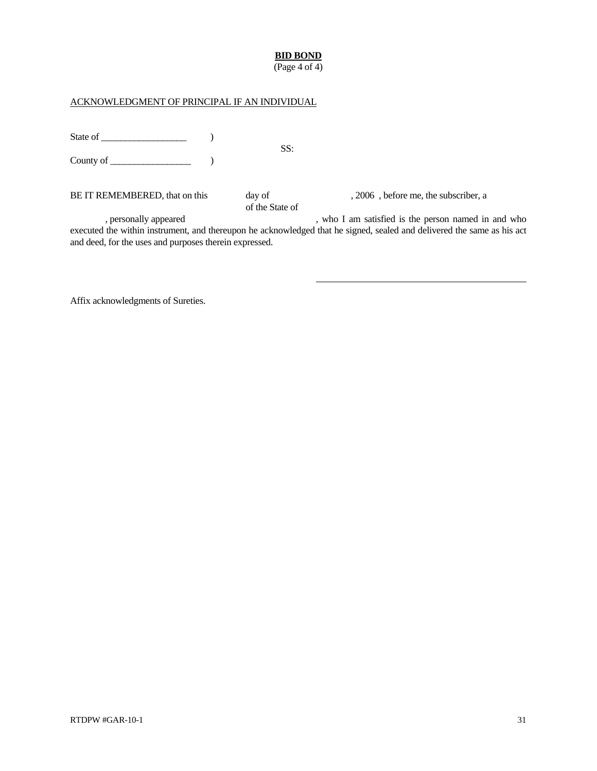## **BID BOND**

(Page 4 of 4)

## ACKNOWLEDGMENT OF PRINCIPAL IF AN INDIVIDUAL

| State of                       |  | SS:                       |                                      |
|--------------------------------|--|---------------------------|--------------------------------------|
|                                |  |                           |                                      |
| BE IT REMEMBERED, that on this |  | day of<br>of the State of | , 2006, before me, the subscriber, a |

, personally appeared , who I am satisfied is the person named in and who executed the within instrument, and thereupon he acknowledged that he signed, sealed and delivered the same as his act and deed, for the uses and purposes therein expressed.

Affix acknowledgments of Sureties.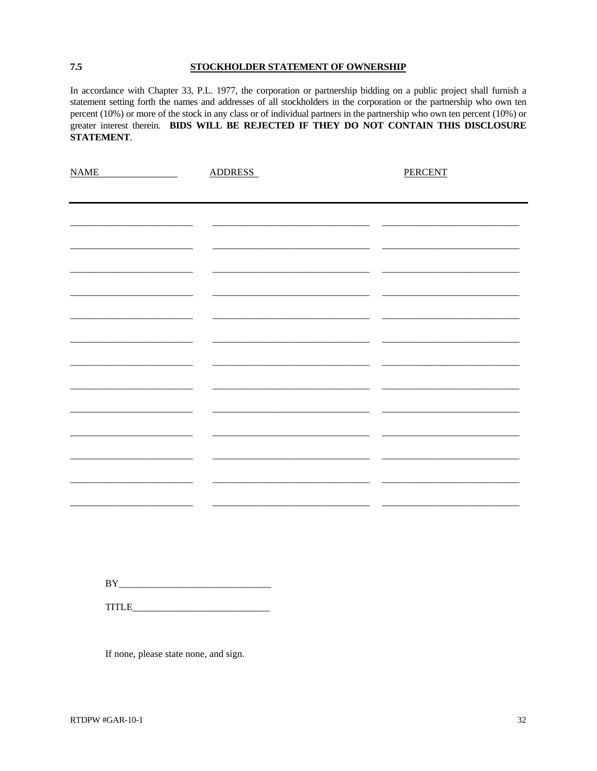### STOCKHOLDER STATEMENT OF OWNERSHIP

In accordance with Chapter 33, P.L. 1977, the corporation or partnership bidding on a public project shall furnish a statement setting forth the names and addresses of all stockholders in the corporation or the partnership who own ten percent (10%) or more of the stock in any class or of individual partners in the partnership who own ten percent (10%) or greater interest therein. BIDS WILL BE REJECTED IF THEY DO NOT CONTAIN THIS DISCLOSURE STATEMENT.

| <b>NAME</b><br><u>and the second</u> | <b>ADDRESS</b> |  |
|--------------------------------------|----------------|--|
|                                      |                |  |
|                                      |                |  |
|                                      |                |  |
|                                      |                |  |
|                                      |                |  |
|                                      |                |  |
|                                      |                |  |
|                                      |                |  |
|                                      |                |  |
|                                      |                |  |
|                                      |                |  |
|                                      |                |  |
|                                      |                |  |
|                                      |                |  |
|                                      |                |  |
|                                      |                |  |

If none, please state none, and sign.

7.5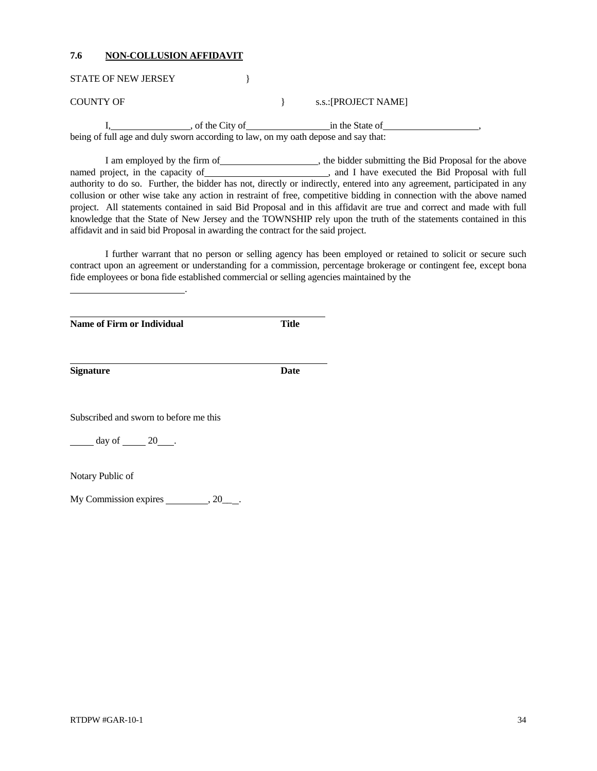### **7.6 NON-COLLUSION AFFIDAVIT**

STATE OF NEW JERSEY }

COUNTY OF  $S.S.:[PROJECT~NAME]$ 

I, contract the City of the City of the City of  $\frac{1}{2}$  in the State of  $\frac{1}{2}$ , being of full age and duly sworn according to law, on my oath depose and say that:

I am employed by the firm of  $\Box$ , the bidder submitting the Bid Proposal for the above named project, in the capacity of , and I have executed the Bid Proposal with full authority to do so. Further, the bidder has not, directly or indirectly, entered into any agreement, participated in any collusion or other wise take any action in restraint of free, competitive bidding in connection with the above named project. All statements contained in said Bid Proposal and in this affidavit are true and correct and made with full knowledge that the State of New Jersey and the TOWNSHIP rely upon the truth of the statements contained in this affidavit and in said bid Proposal in awarding the contract for the said project.

 I further warrant that no person or selling agency has been employed or retained to solicit or secure such contract upon an agreement or understanding for a commission, percentage brokerage or contingent fee, except bona fide employees or bona fide established commercial or selling agencies maintained by the

**Name of Firm or Individual** *Name* Title

.

**Signature** Date

l

 $\overline{a}$ 

Subscribed and sworn to before me this

 $day of$  20  $.$ 

Notary Public of

My Commission expires , 20 .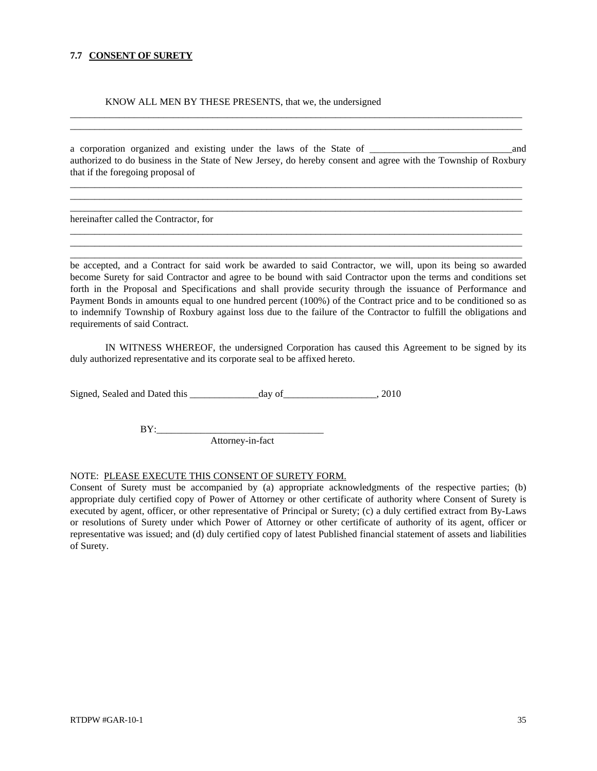### **7.7 CONSENT OF SURETY**

KNOW ALL MEN BY THESE PRESENTS, that we, the undersigned

a corporation organized and existing under the laws of the State of  $\qquad$  and authorized to do business in the State of New Jersey, do hereby consent and agree with the Township of Roxbury that if the foregoing proposal of

 $\_$  ,  $\_$  ,  $\_$  ,  $\_$  ,  $\_$  ,  $\_$  ,  $\_$  ,  $\_$  ,  $\_$  ,  $\_$  ,  $\_$  ,  $\_$  ,  $\_$  ,  $\_$  ,  $\_$  ,  $\_$  ,  $\_$  ,  $\_$  ,  $\_$  ,  $\_$  ,  $\_$  ,  $\_$  ,  $\_$  ,  $\_$  ,  $\_$  ,  $\_$  ,  $\_$  ,  $\_$  ,  $\_$  ,  $\_$  ,  $\_$  ,  $\_$  ,  $\_$  ,  $\_$  ,  $\_$  ,  $\_$  ,  $\_$  ,  $\_$  ,  $\_$  ,  $\_$  ,  $\_$  ,  $\_$  ,  $\_$  ,  $\_$  ,  $\_$  ,  $\_$  ,  $\_$  ,  $\_$  ,  $\_$  ,  $\_$  ,  $\_$  ,  $\_$  ,  $\_$  ,  $\_$  ,  $\_$  ,  $\_$  ,  $\_$  ,  $\_$  ,  $\_$  ,  $\_$  ,  $\_$  ,  $\_$  ,  $\_$  ,  $\_$  ,  $\_$  ,  $\_$  ,  $\_$  ,  $\_$  ,  $\_$  ,  $\_$  ,  $\_$  ,  $\_$  ,  $\_$  ,  $\_$  , \_\_\_\_\_\_\_\_\_\_\_\_\_\_\_\_\_\_\_\_\_\_\_\_\_\_\_\_\_\_\_\_\_\_\_\_\_\_\_\_\_\_\_\_\_\_\_\_\_\_\_\_\_\_\_\_\_\_\_\_\_\_\_\_\_\_\_\_\_\_\_\_\_\_\_\_\_\_\_\_\_\_\_\_\_\_\_\_\_\_\_\_

 $\_$  ,  $\_$  ,  $\_$  ,  $\_$  ,  $\_$  ,  $\_$  ,  $\_$  ,  $\_$  ,  $\_$  ,  $\_$  ,  $\_$  ,  $\_$  ,  $\_$  ,  $\_$  ,  $\_$  ,  $\_$  ,  $\_$  ,  $\_$  ,  $\_$  ,  $\_$  ,  $\_$  ,  $\_$  ,  $\_$  ,  $\_$  ,  $\_$  ,  $\_$  ,  $\_$  ,  $\_$  ,  $\_$  ,  $\_$  ,  $\_$  ,  $\_$  ,  $\_$  ,  $\_$  ,  $\_$  ,  $\_$  ,  $\_$  ,  $\_$  ,  $\_$  ,  $\_$  ,  $\_$  ,  $\_$  ,  $\_$  ,  $\_$  ,  $\_$  ,  $\_$  ,  $\_$  ,  $\_$  ,  $\_$  ,  $\_$  ,  $\_$  ,  $\_$  ,  $\_$  ,  $\_$  ,  $\_$  ,  $\_$  ,  $\_$  ,  $\_$  ,  $\_$  ,  $\_$  ,  $\_$  ,  $\_$  ,  $\_$  ,  $\_$  ,  $\_$  ,  $\_$  ,  $\_$  ,  $\_$  ,  $\_$  ,  $\_$  ,  $\_$  ,  $\_$  ,  $\_$  ,  $\_$  , \_\_\_\_\_\_\_\_\_\_\_\_\_\_\_\_\_\_\_\_\_\_\_\_\_\_\_\_\_\_\_\_\_\_\_\_\_\_\_\_\_\_\_\_\_\_\_\_\_\_\_\_\_\_\_\_\_\_\_\_\_\_\_\_\_\_\_\_\_\_\_\_\_\_\_\_\_\_\_\_\_\_\_\_\_\_\_\_\_\_\_\_

 $\_$  ,  $\_$  ,  $\_$  ,  $\_$  ,  $\_$  ,  $\_$  ,  $\_$  ,  $\_$  ,  $\_$  ,  $\_$  ,  $\_$  ,  $\_$  ,  $\_$  ,  $\_$  ,  $\_$  ,  $\_$  ,  $\_$  ,  $\_$  ,  $\_$  ,  $\_$  ,  $\_$  ,  $\_$  ,  $\_$  ,  $\_$  ,  $\_$  ,  $\_$  ,  $\_$  ,  $\_$  ,  $\_$  ,  $\_$  ,  $\_$  ,  $\_$  ,  $\_$  ,  $\_$  ,  $\_$  ,  $\_$  ,  $\_$  ,  $\overline{a}$  , and the contribution of the contribution of the contribution of the contribution of the contribution of the contribution of the contribution of the contribution of the contribution of the contribution of the co

hereinafter called the Contractor, for

be accepted, and a Contract for said work be awarded to said Contractor, we will, upon its being so awarded become Surety for said Contractor and agree to be bound with said Contractor upon the terms and conditions set forth in the Proposal and Specifications and shall provide security through the issuance of Performance and Payment Bonds in amounts equal to one hundred percent (100%) of the Contract price and to be conditioned so as to indemnify Township of Roxbury against loss due to the failure of the Contractor to fulfill the obligations and requirements of said Contract.

 IN WITNESS WHEREOF, the undersigned Corporation has caused this Agreement to be signed by its duly authorized representative and its corporate seal to be affixed hereto.

Signed, Sealed and Dated this \_\_\_\_\_\_\_\_\_\_\_\_\_\_day of\_\_\_\_\_\_\_\_\_\_\_\_\_\_\_\_\_\_\_, 2010

BY:\_\_\_\_\_\_\_\_\_\_\_\_\_\_\_\_\_\_\_\_\_\_\_\_\_\_\_\_\_\_\_\_\_\_

Attorney-in-fact

### NOTE: PLEASE EXECUTE THIS CONSENT OF SURETY FORM.

Consent of Surety must be accompanied by (a) appropriate acknowledgments of the respective parties; (b) appropriate duly certified copy of Power of Attorney or other certificate of authority where Consent of Surety is executed by agent, officer, or other representative of Principal or Surety; (c) a duly certified extract from By-Laws or resolutions of Surety under which Power of Attorney or other certificate of authority of its agent, officer or representative was issued; and (d) duly certified copy of latest Published financial statement of assets and liabilities of Surety.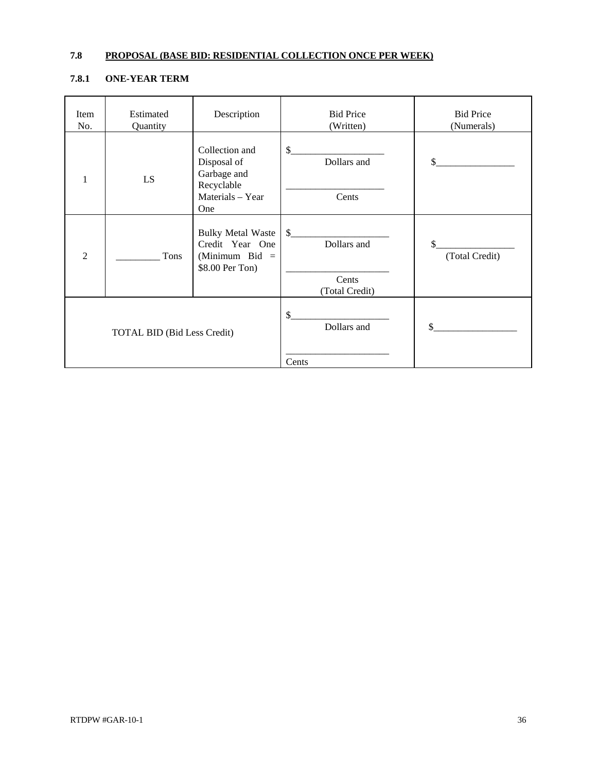## **7.8 PROPOSAL (BASE BID: RESIDENTIAL COLLECTION ONCE PER WEEK)**

## **7.8.1 ONE-YEAR TERM**

| Item<br>No.    | Estimated<br>Quantity              | Description                                                                        | <b>Bid Price</b><br>(Written)         | <b>Bid Price</b><br>(Numerals) |
|----------------|------------------------------------|------------------------------------------------------------------------------------|---------------------------------------|--------------------------------|
| 1              | LS                                 | Collection and<br>Disposal of<br>Garbage and<br>Recyclable                         | \$<br>Dollars and                     | \$.                            |
|                |                                    | Materials - Year<br>One                                                            | Cents                                 |                                |
| $\overline{2}$ | Tons                               | <b>Bulky Metal Waste</b><br>Credit Year One<br>(Minimum Bid $=$<br>\$8.00 Per Ton) | $\mathcal{S}$<br>Dollars and<br>Cents | \$<br>(Total Credit)           |
|                |                                    |                                                                                    | (Total Credit)                        |                                |
|                | <b>TOTAL BID (Bid Less Credit)</b> |                                                                                    | \$<br>Dollars and                     |                                |
|                |                                    |                                                                                    | Cents                                 |                                |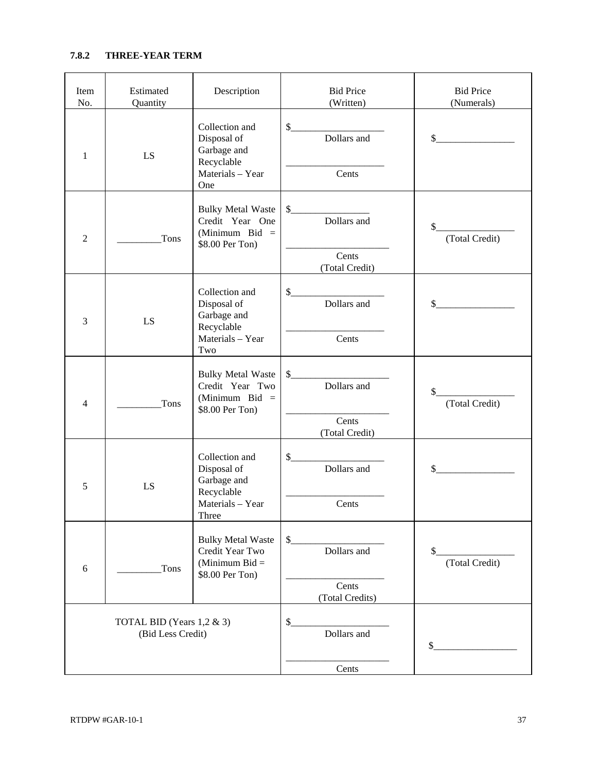## **7.8.2 THREE-YEAR TERM**

| Item<br>No.                                    | Estimated<br>Quantity | Description                                                                               | <b>Bid Price</b><br>(Written)                 | <b>Bid Price</b><br>(Numerals) |
|------------------------------------------------|-----------------------|-------------------------------------------------------------------------------------------|-----------------------------------------------|--------------------------------|
| $\mathbf{1}$                                   | LS                    | Collection and<br>Disposal of<br>Garbage and<br>Recyclable<br>Materials - Year            | $\mathsf{\$}$<br>Dollars and<br>Cents         | $\sim$                         |
| $\overline{2}$                                 | Tons                  | One<br><b>Bulky Metal Waste</b><br>Credit Year One<br>(Minimum Bid $=$<br>\$8.00 Per Ton) | $\frac{\text{S}}{\text{S}}$<br>Dollars and    | (Total Credit)<br>\$           |
|                                                |                       |                                                                                           | Cents<br>(Total Credit)                       |                                |
| 3                                              | LS                    | Collection and<br>Disposal of<br>Garbage and<br>Recyclable                                | $\frac{1}{2}$<br>Dollars and                  | $\sim$                         |
|                                                |                       | Materials - Year<br>Two                                                                   | Cents                                         |                                |
| $\overline{4}$                                 | Tons                  | <b>Bulky Metal Waste</b><br>Credit Year Two<br>(Minimum Bid $=$<br>\$8.00 Per Ton)        | $\frac{1}{2}$<br>Dollars and                  | \$<br>(Total Credit)           |
|                                                |                       |                                                                                           | Cents<br>(Total Credit)                       |                                |
| 5                                              | LS                    | Collection and<br>Disposal of<br>Garbage and                                              | $\frac{1}{2}$<br>Dollars and                  | $\frac{1}{2}$                  |
|                                                |                       | Recyclable<br>Materials - Year<br>Three                                                   | Cents                                         |                                |
| 6                                              | Tons                  | <b>Bulky Metal Waste</b><br>Credit Year Two<br>(Minimum Bid $=$<br>\$8.00 Per Ton)        | \$<br>Dollars and<br>Cents<br>(Total Credits) | \$<br>(Total Credit)           |
| TOTAL BID (Years 1,2 & 3)<br>(Bid Less Credit) |                       |                                                                                           | \$<br>Dollars and                             | \$                             |
|                                                |                       |                                                                                           | Cents                                         |                                |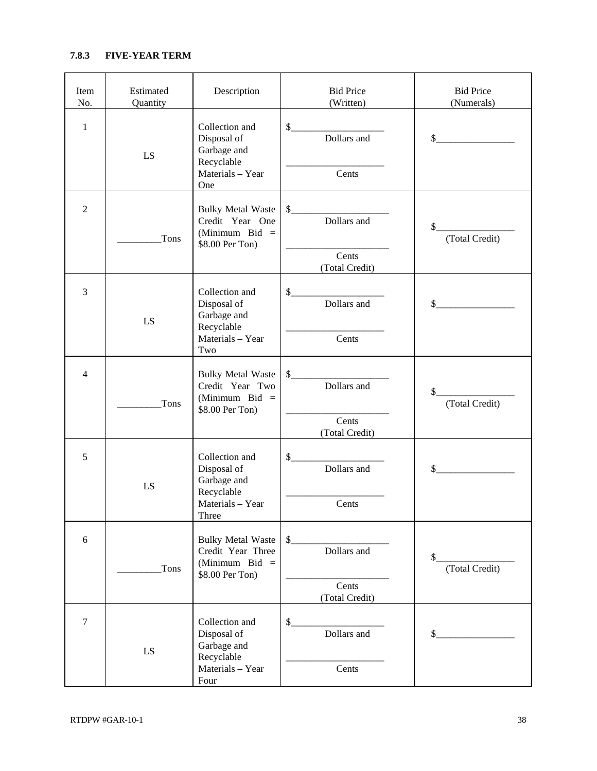## **7.8.3 FIVE-YEAR TERM**

| Item<br>No.    | Estimated<br>Quantity | Description                                                                             | <b>Bid Price</b><br>(Written)                    | <b>Bid Price</b><br>(Numerals)  |
|----------------|-----------------------|-----------------------------------------------------------------------------------------|--------------------------------------------------|---------------------------------|
| $\mathbf{1}$   | LS                    | Collection and<br>Disposal of<br>Garbage and<br>Recyclable<br>Materials - Year<br>One   | Dollars and<br>Cents                             | $\frac{1}{2}$                   |
| $\overline{2}$ | Tons                  | <b>Bulky Metal Waste</b><br>Credit Year One<br>(Minimum Bid $=$<br>\$8.00 Per Ton)      | $\sim$<br>Dollars and<br>Cents<br>(Total Credit) | (Total Credit)<br>\$            |
| 3              | LS                    | Collection and<br>Disposal of<br>Garbage and<br>Recyclable<br>Materials - Year<br>Two   | Dollars and<br>Cents                             | $\frac{1}{2}$                   |
| $\overline{4}$ | Tons                  | <b>Bulky Metal Waste</b><br>Credit Year Two<br>(Minimum Bid =<br>\$8.00 Per Ton)        | $\sim$<br>Dollars and<br>Cents<br>(Total Credit) | $\frac{1}{2}$<br>(Total Credit) |
| 5              | LS                    | Collection and<br>Disposal of<br>Garbage and<br>Recyclable<br>Materials - Year<br>Three | Dollars and<br>Cents                             | $\sim$                          |
| 6              | Tons                  | <b>Bulky Metal Waste</b><br>Credit Year Three<br>(Minimum Bid $=$<br>\$8.00 Per Ton)    | \$<br>Dollars and<br>Cents<br>(Total Credit)     | \$<br>(Total Credit)            |
| $\overline{7}$ | LS                    | Collection and<br>Disposal of<br>Garbage and<br>Recyclable<br>Materials - Year<br>Four  | \$<br>Dollars and<br>Cents                       |                                 |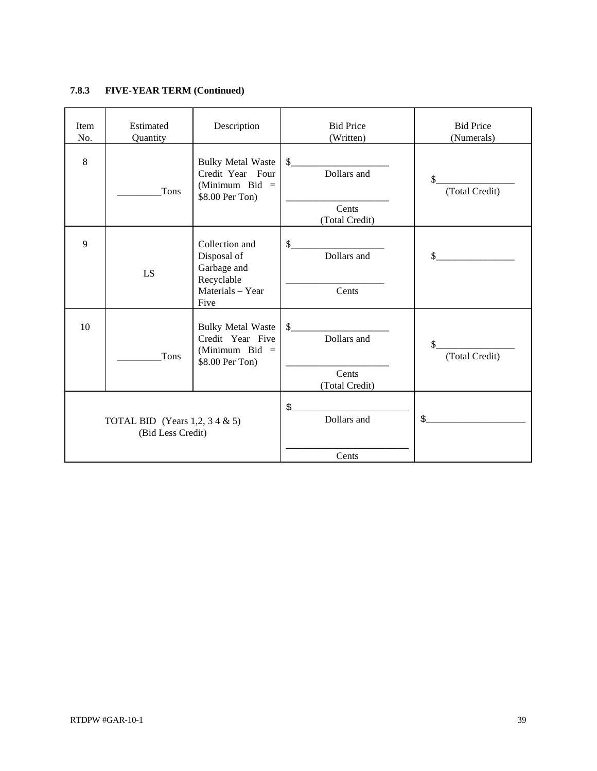## **7.8.3 FIVE-YEAR TERM (Continued)**

| $\,8\,$<br><b>Bulky Metal Waste</b><br>\$<br>Dollars and<br>Credit Year Four<br>\$<br>(Minimum Bid $=$<br>Tons<br>\$8.00 Per Ton)<br>Cents<br>(Total Credit)<br>9<br>\$<br>Collection and<br>Dollars and<br>Disposal of | <b>Bid Price</b><br>(Numerals) |
|-------------------------------------------------------------------------------------------------------------------------------------------------------------------------------------------------------------------------|--------------------------------|
|                                                                                                                                                                                                                         | (Total Credit)                 |
|                                                                                                                                                                                                                         |                                |
| Garbage and<br>LS<br>Recyclable                                                                                                                                                                                         | \$                             |
| Cents<br>Materials - Year<br>Five                                                                                                                                                                                       |                                |
| 10<br><b>Bulky Metal Waste</b><br>\$<br>Dollars and<br>Credit Year Five<br>(Minimum Bid $=$<br>Tons<br>\$8.00 Per Ton)<br>Cents<br>(Total Credit)                                                                       | (Total Credit)                 |
| \$.<br>Dollars and<br>TOTAL BID (Years 1,2, 3 4 $\&$ 5)<br>(Bid Less Credit)<br>Cents                                                                                                                                   | $\frac{1}{2}$                  |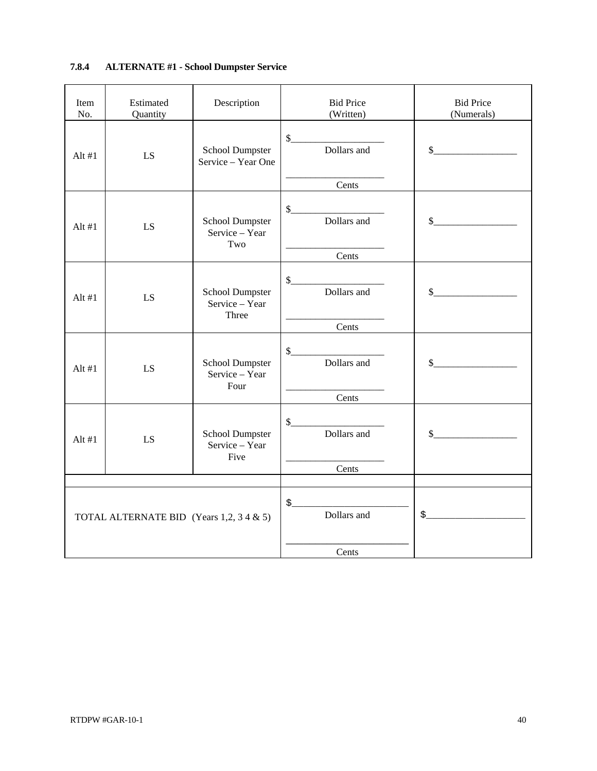## **7.8.4 ALTERNATE #1 - School Dumpster Service**

| Item<br>No. | Estimated<br>Quantity                    | Description                                | <b>Bid Price</b><br>(Written) | <b>Bid Price</b><br>(Numerals)                                                                                                                                                                                                                                                                                      |
|-------------|------------------------------------------|--------------------------------------------|-------------------------------|---------------------------------------------------------------------------------------------------------------------------------------------------------------------------------------------------------------------------------------------------------------------------------------------------------------------|
| Alt $#1$    | LS.                                      | School Dumpster<br>Service - Year One      | S<br>Dollars and              | $\frac{1}{2}$                                                                                                                                                                                                                                                                                                       |
|             |                                          |                                            | Cents                         |                                                                                                                                                                                                                                                                                                                     |
| Alt $#1$    | LS                                       | School Dumpster<br>Service - Year<br>Two   | $\frac{1}{2}$<br>Dollars and  | $\sim$                                                                                                                                                                                                                                                                                                              |
|             |                                          |                                            | Cents                         |                                                                                                                                                                                                                                                                                                                     |
| Alt $#1$    | LS                                       | School Dumpster<br>Service - Year<br>Three | $\mathcal{L}$<br>Dollars and  | $\frac{1}{2}$                                                                                                                                                                                                                                                                                                       |
|             |                                          |                                            | Cents                         |                                                                                                                                                                                                                                                                                                                     |
| Alt $#1$    | LS.                                      | School Dumpster<br>Service - Year<br>Four  | $\sim$<br>Dollars and         | $\sim$                                                                                                                                                                                                                                                                                                              |
|             |                                          |                                            | Cents                         |                                                                                                                                                                                                                                                                                                                     |
| Alt $#1$    | LS                                       | School Dumpster<br>Service - Year<br>Five  | $\mathsf{\$}$<br>Dollars and  | $\sim$                                                                                                                                                                                                                                                                                                              |
|             |                                          |                                            | Cents                         |                                                                                                                                                                                                                                                                                                                     |
|             | TOTAL ALTERNATE BID (Years 1,2, 3 4 & 5) |                                            | $\frac{1}{2}$<br>Dollars and  | $\frac{1}{2}$ $\frac{1}{2}$ $\frac{1}{2}$ $\frac{1}{2}$ $\frac{1}{2}$ $\frac{1}{2}$ $\frac{1}{2}$ $\frac{1}{2}$ $\frac{1}{2}$ $\frac{1}{2}$ $\frac{1}{2}$ $\frac{1}{2}$ $\frac{1}{2}$ $\frac{1}{2}$ $\frac{1}{2}$ $\frac{1}{2}$ $\frac{1}{2}$ $\frac{1}{2}$ $\frac{1}{2}$ $\frac{1}{2}$ $\frac{1}{2}$ $\frac{1}{2}$ |
|             |                                          |                                            | Cents                         |                                                                                                                                                                                                                                                                                                                     |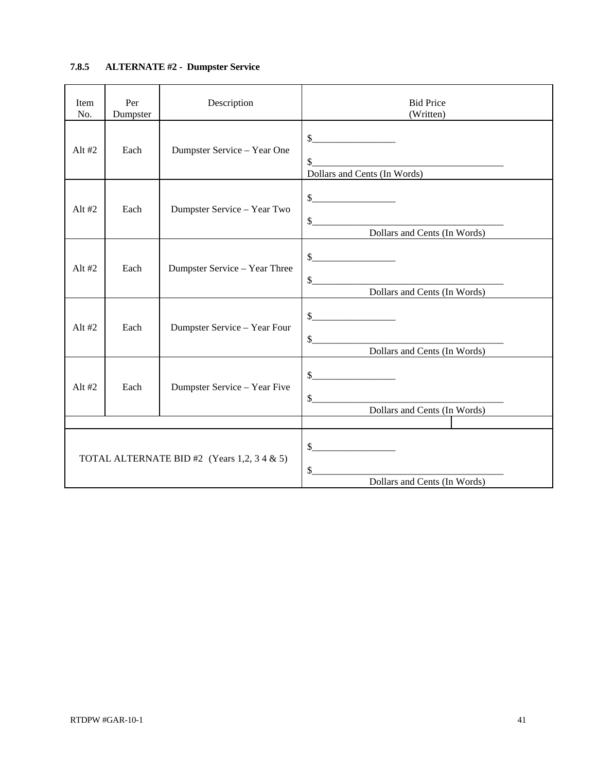## **7.8.5 ALTERNATE #2 - Dumpster Service**

| Item<br>No. | Per<br>Dumpster | Description                                 | <b>Bid Price</b><br>(Written)                                                                                                                                                                                                                                                                                                                                                                                                                                                                                                                                                                             |
|-------------|-----------------|---------------------------------------------|-----------------------------------------------------------------------------------------------------------------------------------------------------------------------------------------------------------------------------------------------------------------------------------------------------------------------------------------------------------------------------------------------------------------------------------------------------------------------------------------------------------------------------------------------------------------------------------------------------------|
| Alt $#2$    | Each            | Dumpster Service - Year One                 | $\frac{1}{2}$<br>\$<br>Dollars and Cents (In Words)                                                                                                                                                                                                                                                                                                                                                                                                                                                                                                                                                       |
| Alt $#2$    | Each            | Dumpster Service - Year Two                 | $\begin{picture}(20,10) \put(0,0){\line(1,0){10}} \put(15,0){\line(1,0){10}} \put(15,0){\line(1,0){10}} \put(15,0){\line(1,0){10}} \put(15,0){\line(1,0){10}} \put(15,0){\line(1,0){10}} \put(15,0){\line(1,0){10}} \put(15,0){\line(1,0){10}} \put(15,0){\line(1,0){10}} \put(15,0){\line(1,0){10}} \put(15,0){\line(1,0){10}} \put(15,0){\line(1$<br>$\frac{1}{2}$<br>Dollars and Cents (In Words)<br>$\overline{\phantom{a}}$                                                                                                                                                                          |
| Alt $#2$    | Each            | Dumpster Service - Year Three               | $\frac{1}{2}$<br>Dollars and Cents (In Words)                                                                                                                                                                                                                                                                                                                                                                                                                                                                                                                                                             |
| Alt $#2$    | Each            | Dumpster Service - Year Four                | $\frac{1}{2}$<br>s<br>Dollars and Cents (In Words)                                                                                                                                                                                                                                                                                                                                                                                                                                                                                                                                                        |
| Alt $#2$    | Each            | Dumpster Service - Year Five                | $\frac{1}{2}$<br>$\quad \  \  \, \textcolor{red}{\textbf{\textcolor{red}{\textbf{S}}}}\textcolor{red}{\textcolor{red}{\textbf{\textcolor{red}{\textbf{S}}}}}\textcolor{red}{\textbf{\textcolor{red}{\textbf{S}}}}\textcolor{red}{\textbf{\textcolor{red}{\textbf{S}}}}\textcolor{red}{\textcolor{red}{\textbf{S}}}\textcolor{red}{\textbf{\textcolor{red}{\textbf{S}}}}\textcolor{red}{\textbf{\textcolor{red}{\textbf{S}}}}\textcolor{red}{\textbf{\textcolor{red}{\textbf{S}}}}\textcolor{red}{\textbf{\textcolor{red}{\textbf{S}}}}\textcolor{red}{\textbf{\textcolor$<br>Dollars and Cents (In Words) |
|             |                 |                                             |                                                                                                                                                                                                                                                                                                                                                                                                                                                                                                                                                                                                           |
|             |                 | TOTAL ALTERNATE BID #2 (Years 1,2, 3 4 & 5) | $\sim$<br>$\mathbb{S}$<br>Dollars and Cents (In Words)                                                                                                                                                                                                                                                                                                                                                                                                                                                                                                                                                    |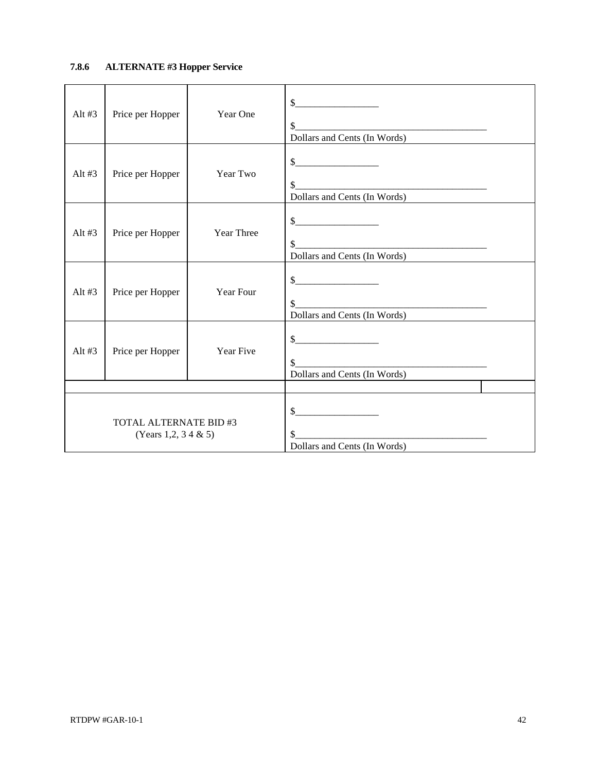## **7.8.6 ALTERNATE #3 Hopper Service**

| Alt $#3$                                              | Price per Hopper              | Year One          | $\frac{\text{S}}{\text{S}}$<br>\$<br>Dollars and Cents (In Words)                                                                                                                                                                                                                                                                                                                                                                                        |
|-------------------------------------------------------|-------------------------------|-------------------|----------------------------------------------------------------------------------------------------------------------------------------------------------------------------------------------------------------------------------------------------------------------------------------------------------------------------------------------------------------------------------------------------------------------------------------------------------|
| Alt $#3$                                              | Price per Hopper              | Year Two          | $\frac{1}{2}$<br>\$<br>Dollars and Cents (In Words)                                                                                                                                                                                                                                                                                                                                                                                                      |
| Alt $#3$                                              | Price per Hopper              | <b>Year Three</b> | $\frac{1}{2}$<br>$\frac{\frac{1}{2} + \frac{1}{2} + \frac{1}{2} + \frac{1}{2} + \frac{1}{2} + \frac{1}{2} + \frac{1}{2} + \frac{1}{2} + \frac{1}{2} + \frac{1}{2} + \frac{1}{2} + \frac{1}{2} + \frac{1}{2} + \frac{1}{2} + \frac{1}{2} + \frac{1}{2} + \frac{1}{2} + \frac{1}{2} + \frac{1}{2} + \frac{1}{2} + \frac{1}{2} + \frac{1}{2} + \frac{1}{2} + \frac{1}{2} + \frac{1}{2} + \frac{1}{2} + \frac{1}{2} + \frac$<br>Dollars and Cents (In Words) |
| Alt $#3$                                              | Price per Hopper              | Year Four         | $\frac{1}{1}$<br>$\frac{\text{S}}{\text{S}}$<br>Dollars and Cents (In Words)                                                                                                                                                                                                                                                                                                                                                                             |
| Alt $#3$                                              | Price per Hopper<br>Year Five |                   | $\frac{1}{2}$<br><u> 1989 - Jan Barnett, mars eta bainar eta bat zen bat zen bat zen bat zen bat zen bat zen bat zen bat zen bat z</u><br>\$<br>Dollars and Cents (In Words)                                                                                                                                                                                                                                                                             |
|                                                       |                               |                   |                                                                                                                                                                                                                                                                                                                                                                                                                                                          |
| <b>TOTAL ALTERNATE BID #3</b><br>(Years 1,2, 3 4 & 5) |                               |                   | $\sim$<br>Dollars and Cents (In Words)                                                                                                                                                                                                                                                                                                                                                                                                                   |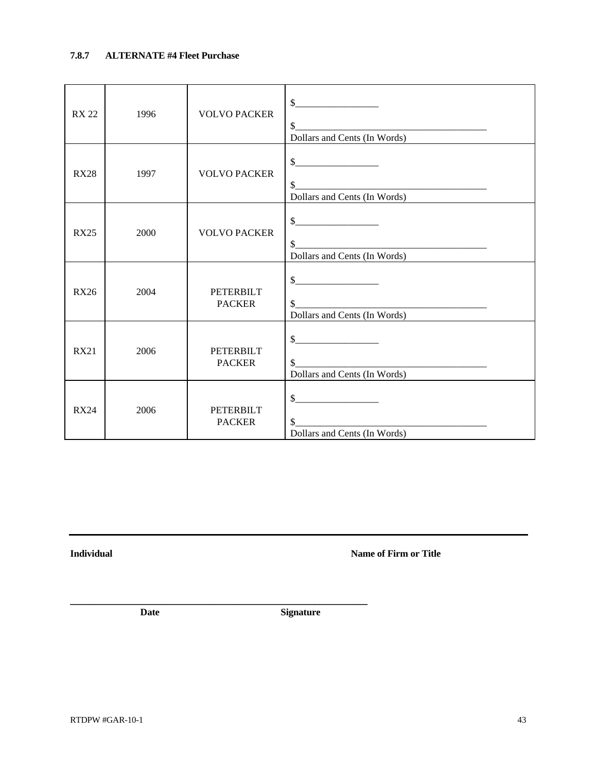## **7.8.7 ALTERNATE #4 Fleet Purchase**

| <b>RX 22</b> | 1996 | <b>VOLVO PACKER</b>               | $\frac{1}{2}$<br>\$<br>Dollars and Cents (In Words)                                                                                                                                                                                                                                                                                                                                                                                                                 |
|--------------|------|-----------------------------------|---------------------------------------------------------------------------------------------------------------------------------------------------------------------------------------------------------------------------------------------------------------------------------------------------------------------------------------------------------------------------------------------------------------------------------------------------------------------|
| <b>RX28</b>  | 1997 | <b>VOLVO PACKER</b>               | Dollars and Cents (In Words)                                                                                                                                                                                                                                                                                                                                                                                                                                        |
| <b>RX25</b>  | 2000 | <b>VOLVO PACKER</b>               | $\begin{picture}(20,10) \put(0,0){\vector(1,0){100}} \put(15,0){\vector(1,0){100}} \put(15,0){\vector(1,0){100}} \put(15,0){\vector(1,0){100}} \put(15,0){\vector(1,0){100}} \put(15,0){\vector(1,0){100}} \put(15,0){\vector(1,0){100}} \put(15,0){\vector(1,0){100}} \put(15,0){\vector(1,0){100}} \put(15,0){\vector(1,0){100}} \put(15,0){\vector(1,0){100}} \$<br>\$<br>Dollars and Cents (In Words)                                                           |
| <b>RX26</b>  | 2004 | <b>PETERBILT</b><br><b>PACKER</b> | s<br>$\frac{1}{2}$<br>Dollars and Cents (In Words)                                                                                                                                                                                                                                                                                                                                                                                                                  |
| <b>RX21</b>  | 2006 | <b>PETERBILT</b><br><b>PACKER</b> | $\begin{array}{c c c c c} \hline \textbf{S} & \textbf{S} & \textbf{S} & \textbf{S} & \textbf{S} & \textbf{S} \\ \hline \textbf{S} & \textbf{S} & \textbf{S} & \textbf{S} & \textbf{S} & \textbf{S} & \textbf{S} & \textbf{S} & \textbf{S} & \textbf{S} & \textbf{S} \\ \hline \textbf{S} & \textbf{S} & \textbf{S} & \textbf{S} & \textbf{S} & \textbf{S} & \textbf{S} & \textbf{S} & \textbf{S} & \textbf{S} & \textbf{S} &$<br>\$<br>Dollars and Cents (In Words) |
| <b>RX24</b>  | 2006 | <b>PETERBILT</b><br><b>PACKER</b> | $\begin{array}{c c c c c} \hline \textbf{S} & \textbf{S} & \textbf{S} & \textbf{S} & \textbf{S} & \textbf{S} & \textbf{S} & \textbf{S} & \textbf{S} & \textbf{S} & \textbf{S} & \textbf{S} & \textbf{S} & \textbf{S} & \textbf{S} & \textbf{S} & \textbf{S} & \textbf{S} & \textbf{S} & \textbf{S} & \textbf{S} & \textbf{S} & \textbf{S} & \textbf{S} & \textbf{S} & \textbf{S} & \textbf{S} & \textbf{S} & \textbf{S}$<br>\$<br>Dollars and Cents (In Words)      |

**Individual Markor Community Community Community Community Community Community Community Community Community Community Community Community Community Community Community Community Community Community Community Community Com** 

\_\_\_\_\_\_\_\_\_\_\_\_\_\_\_\_\_\_\_\_\_\_\_\_\_\_\_\_\_\_\_\_\_\_\_\_\_\_\_\_\_\_\_\_\_\_\_\_\_\_\_\_\_\_\_\_\_\_\_\_\_\_

 **Date Signature**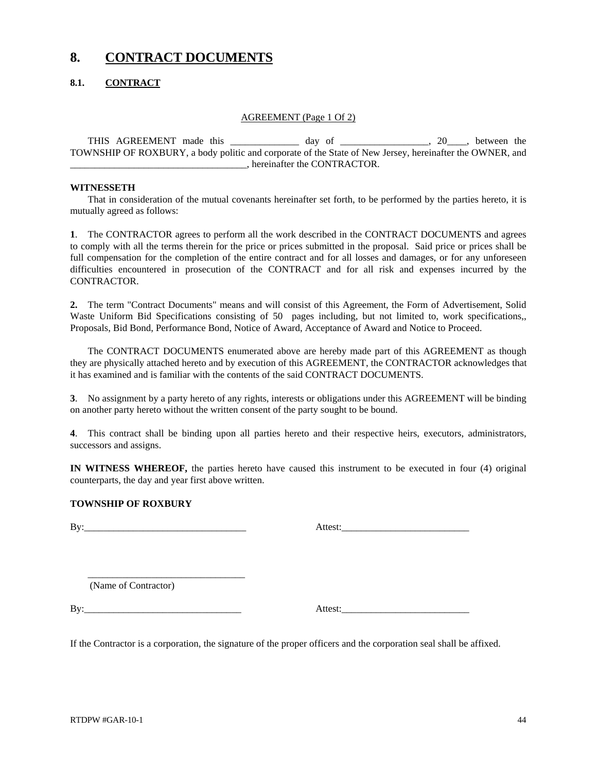# **8. CONTRACT DOCUMENTS**

## **8.1. CONTRACT**

### AGREEMENT (Page 1 Of 2)

THIS AGREEMENT made this day of 20 the ether of the contract of the contract of the contract of the contract of the contract of the contract of the contract of the contract of the contract of the contract of the contract o TOWNSHIP OF ROXBURY, a body politic and corporate of the State of New Jersey, hereinafter the OWNER, and \_\_\_\_\_\_\_\_\_\_\_\_\_\_\_\_\_\_\_\_\_\_\_\_\_\_\_\_\_\_\_\_\_\_\_\_, hereinafter the CONTRACTOR.

### **WITNESSETH**

That in consideration of the mutual covenants hereinafter set forth, to be performed by the parties hereto, it is mutually agreed as follows:

**1**. The CONTRACTOR agrees to perform all the work described in the CONTRACT DOCUMENTS and agrees to comply with all the terms therein for the price or prices submitted in the proposal. Said price or prices shall be full compensation for the completion of the entire contract and for all losses and damages, or for any unforeseen difficulties encountered in prosecution of the CONTRACT and for all risk and expenses incurred by the CONTRACTOR.

**2.** The term "Contract Documents" means and will consist of this Agreement, the Form of Advertisement, Solid Waste Uniform Bid Specifications consisting of 50 pages including, but not limited to, work specifications,, Proposals, Bid Bond, Performance Bond, Notice of Award, Acceptance of Award and Notice to Proceed.

The CONTRACT DOCUMENTS enumerated above are hereby made part of this AGREEMENT as though they are physically attached hereto and by execution of this AGREEMENT, the CONTRACTOR acknowledges that it has examined and is familiar with the contents of the said CONTRACT DOCUMENTS.

**3**. No assignment by a party hereto of any rights, interests or obligations under this AGREEMENT will be binding on another party hereto without the written consent of the party sought to be bound.

**4**. This contract shall be binding upon all parties hereto and their respective heirs, executors, administrators, successors and assigns.

**IN WITNESS WHEREOF,** the parties hereto have caused this instrument to be executed in four (4) original counterparts, the day and year first above written.

### **TOWNSHIP OF ROXBURY**

By:\_\_\_\_\_\_\_\_\_\_\_\_\_\_\_\_\_\_\_\_\_\_\_\_\_\_\_\_\_\_\_\_\_ Attest:\_\_\_\_\_\_\_\_\_\_\_\_\_\_\_\_\_\_\_\_\_\_\_\_\_\_

\_\_\_\_\_\_\_\_\_\_\_\_\_\_\_\_\_\_\_\_\_\_\_\_\_\_\_\_\_\_\_\_

| .ttest•<br>л<br>. |
|-------------------|
|-------------------|

(Name of Contractor)

By: Attest:

If the Contractor is a corporation, the signature of the proper officers and the corporation seal shall be affixed.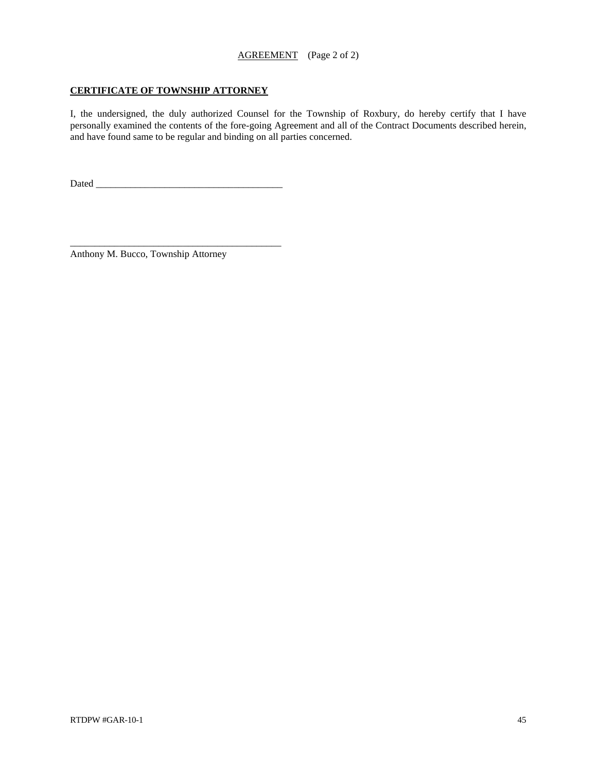### **CERTIFICATE OF TOWNSHIP ATTORNEY**

I, the undersigned, the duly authorized Counsel for the Township of Roxbury, do hereby certify that I have personally examined the contents of the fore-going Agreement and all of the Contract Documents described herein, and have found same to be regular and binding on all parties concerned.

Dated \_\_\_\_\_\_\_\_\_\_\_\_\_\_\_\_\_\_\_\_\_\_\_\_\_\_\_\_\_\_\_\_\_\_\_\_\_\_

\_\_\_\_\_\_\_\_\_\_\_\_\_\_\_\_\_\_\_\_\_\_\_\_\_\_\_\_\_\_\_\_\_\_\_\_\_\_\_\_\_\_\_

Anthony M. Bucco, Township Attorney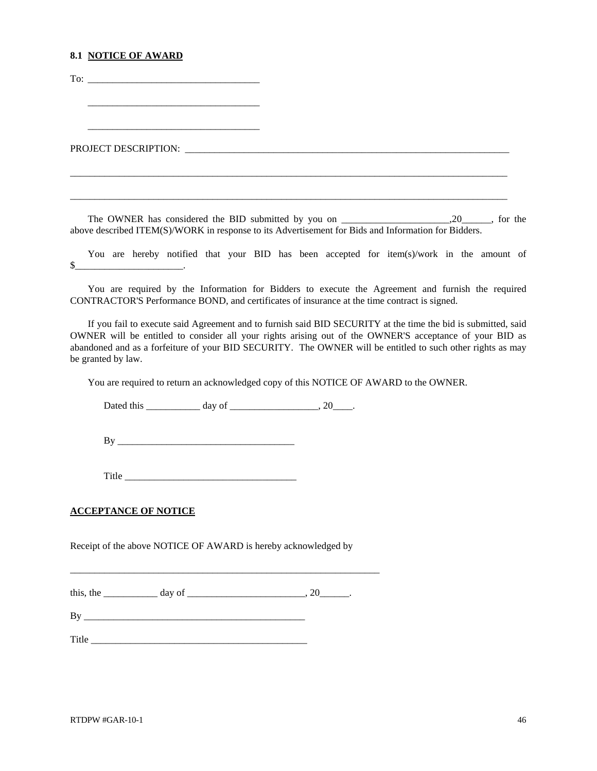### **8.1 NOTICE OF AWARD**

To: \_\_\_\_\_\_\_\_\_\_\_\_\_\_\_\_\_\_\_\_\_\_\_\_\_\_\_\_\_\_\_\_\_\_\_ \_\_\_\_\_\_\_\_\_\_\_\_\_\_\_\_\_\_\_\_\_\_\_\_\_\_\_\_\_\_\_\_\_\_\_ \_\_\_\_\_\_\_\_\_\_\_\_\_\_\_\_\_\_\_\_\_\_\_\_\_\_\_\_\_\_\_\_\_\_\_ PROJECT DESCRIPTION: \_\_\_\_\_\_\_\_\_\_\_\_\_\_\_\_\_\_\_\_\_\_\_\_\_\_\_\_\_\_\_\_\_\_\_\_\_\_\_\_\_\_\_\_\_\_\_\_\_\_\_\_\_\_\_\_\_\_\_\_\_\_\_\_\_\_

The OWNER has considered the BID submitted by you on \_\_\_\_\_\_\_\_\_\_\_\_\_\_\_\_\_\_\_\_\_,20\_\_\_\_\_\_, for the above described ITEM(S)/WORK in response to its Advertisement for Bids and Information for Bidders.

\_\_\_\_\_\_\_\_\_\_\_\_\_\_\_\_\_\_\_\_\_\_\_\_\_\_\_\_\_\_\_\_\_\_\_\_\_\_\_\_\_\_\_\_\_\_\_\_\_\_\_\_\_\_\_\_\_\_\_\_\_\_\_\_\_\_\_\_\_\_\_\_\_\_\_\_\_\_\_\_\_\_\_\_\_\_\_\_\_

\_\_\_\_\_\_\_\_\_\_\_\_\_\_\_\_\_\_\_\_\_\_\_\_\_\_\_\_\_\_\_\_\_\_\_\_\_\_\_\_\_\_\_\_\_\_\_\_\_\_\_\_\_\_\_\_\_\_\_\_\_\_\_\_\_\_\_\_\_\_\_\_\_\_\_\_\_\_\_\_\_\_\_\_\_\_\_\_\_

You are hereby notified that your BID has been accepted for item(s)/work in the amount of  $\mathbb{S}$ 

You are required by the Information for Bidders to execute the Agreement and furnish the required CONTRACTOR'S Performance BOND, and certificates of insurance at the time contract is signed.

If you fail to execute said Agreement and to furnish said BID SECURITY at the time the bid is submitted, said OWNER will be entitled to consider all your rights arising out of the OWNER'S acceptance of your BID as abandoned and as a forfeiture of your BID SECURITY. The OWNER will be entitled to such other rights as may be granted by law.

You are required to return an acknowledged copy of this NOTICE OF AWARD to the OWNER.

Dated this day of the control of the control of the control of the control of the control of the control of the control of the control of the control of the control of the control of the control of the control of the contr

By \_\_\_\_\_\_\_\_\_\_\_\_\_\_\_\_\_\_\_\_\_\_\_\_\_\_\_\_\_\_\_\_\_\_\_\_

Title \_\_\_\_\_\_\_\_\_\_\_\_\_\_\_\_\_\_\_\_\_\_\_\_\_\_\_\_\_\_\_\_\_\_\_

### **ACCEPTANCE OF NOTICE**

Receipt of the above NOTICE OF AWARD is hereby acknowledged by

\_\_\_\_\_\_\_\_\_\_\_\_\_\_\_\_\_\_\_\_\_\_\_\_\_\_\_\_\_\_\_\_\_\_\_\_\_\_\_\_\_\_\_\_\_\_\_\_\_\_\_\_\_\_\_\_\_\_\_\_\_\_\_

this, the \_\_\_\_\_\_\_\_\_\_\_ day of \_\_\_\_\_\_\_\_\_\_\_\_\_\_\_\_\_\_\_\_\_\_\_\_\_, 20\_\_\_\_\_\_\_.

By \_\_\_\_\_\_\_\_\_\_\_\_\_\_\_\_\_\_\_\_\_\_\_\_\_\_\_\_\_\_\_\_\_\_\_\_\_\_\_\_\_\_\_\_\_

Title <u>the set of the set of the set of the set of the set of the set of the set of the set of the set of the set of the set of the set of the set of the set of the set of the set of the set of the set of the set of the se</u>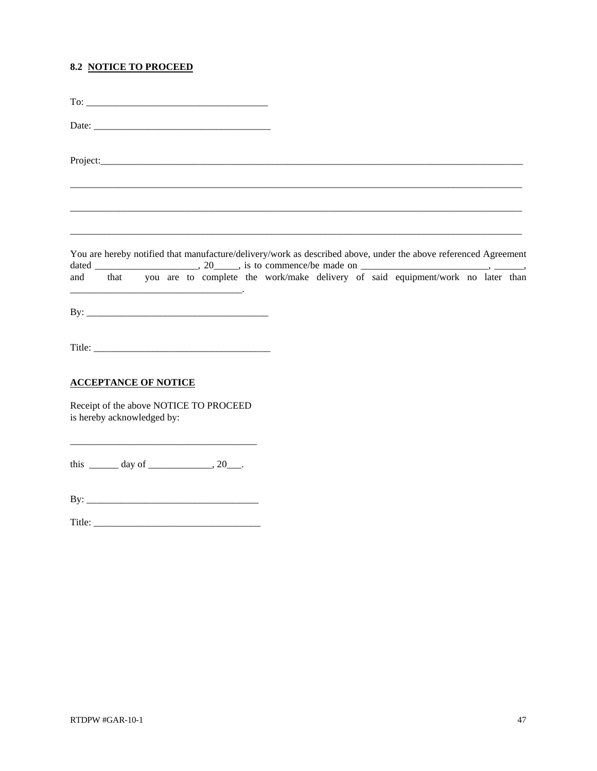## **8.2 NOTICE TO PROCEED**

| You are hereby notified that manufacture/delivery/work as described above, under the above referenced Agreement |  |  |  |
|-----------------------------------------------------------------------------------------------------------------|--|--|--|
|                                                                                                                 |  |  |  |
|                                                                                                                 |  |  |  |
| <b>ACCEPTANCE OF NOTICE</b>                                                                                     |  |  |  |
| Receipt of the above NOTICE TO PROCEED<br>is hereby acknowledged by:                                            |  |  |  |
| this $\_\_\_\_$ day of $\_\_\_\_\_\_$ , 20 $\_\_\_\_\$ .                                                        |  |  |  |
|                                                                                                                 |  |  |  |
|                                                                                                                 |  |  |  |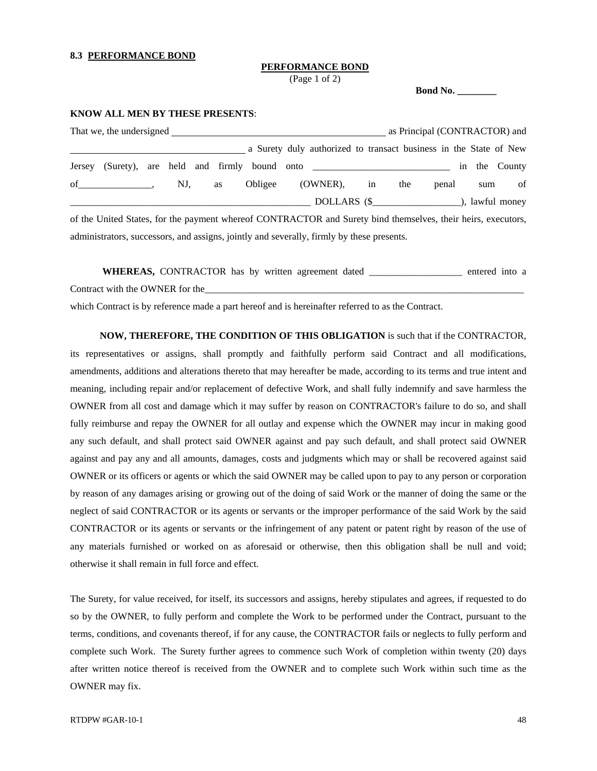### **8.3 PERFORMANCE BOND**

### **PERFORMANCE BOND**

(Page 1 of 2)

 **Bond No. \_\_\_\_\_\_\_\_** 

### **KNOW ALL MEN BY THESE PRESENTS**:

|        |  |     |    |                                                                                                              |  | as Principal (CONTRACTOR) and |       |     |    |
|--------|--|-----|----|--------------------------------------------------------------------------------------------------------------|--|-------------------------------|-------|-----|----|
|        |  |     |    | a Surety duly authorized to transact business in the State of New                                            |  |                               |       |     |    |
| Jersey |  |     |    |                                                                                                              |  |                               |       |     |    |
|        |  | NJ, | as | Obligee (OWNER), in                                                                                          |  | the                           | penal | sum | of |
|        |  |     |    |                                                                                                              |  |                               |       |     |    |
|        |  |     |    | of the United States, for the payment whereof CONTRACTOR and Surety bind themselves, their heirs, executors, |  |                               |       |     |    |
|        |  |     |    | administrators, successors, and assigns, jointly and severally, firmly by these presents.                    |  |                               |       |     |    |

 **WHEREAS,** CONTRACTOR has by written agreement dated \_\_\_\_\_\_\_\_\_\_\_\_\_\_\_\_\_\_\_ entered into a Contract with the OWNER for the

which Contract is by reference made a part hereof and is hereinafter referred to as the Contract.

 **NOW, THEREFORE, THE CONDITION OF THIS OBLIGATION** is such that if the CONTRACTOR, its representatives or assigns, shall promptly and faithfully perform said Contract and all modifications, amendments, additions and alterations thereto that may hereafter be made, according to its terms and true intent and meaning, including repair and/or replacement of defective Work, and shall fully indemnify and save harmless the OWNER from all cost and damage which it may suffer by reason on CONTRACTOR's failure to do so, and shall fully reimburse and repay the OWNER for all outlay and expense which the OWNER may incur in making good any such default, and shall protect said OWNER against and pay such default, and shall protect said OWNER against and pay any and all amounts, damages, costs and judgments which may or shall be recovered against said OWNER or its officers or agents or which the said OWNER may be called upon to pay to any person or corporation by reason of any damages arising or growing out of the doing of said Work or the manner of doing the same or the neglect of said CONTRACTOR or its agents or servants or the improper performance of the said Work by the said CONTRACTOR or its agents or servants or the infringement of any patent or patent right by reason of the use of any materials furnished or worked on as aforesaid or otherwise, then this obligation shall be null and void; otherwise it shall remain in full force and effect.

The Surety, for value received, for itself, its successors and assigns, hereby stipulates and agrees, if requested to do so by the OWNER, to fully perform and complete the Work to be performed under the Contract, pursuant to the terms, conditions, and covenants thereof, if for any cause, the CONTRACTOR fails or neglects to fully perform and complete such Work. The Surety further agrees to commence such Work of completion within twenty (20) days after written notice thereof is received from the OWNER and to complete such Work within such time as the OWNER may fix.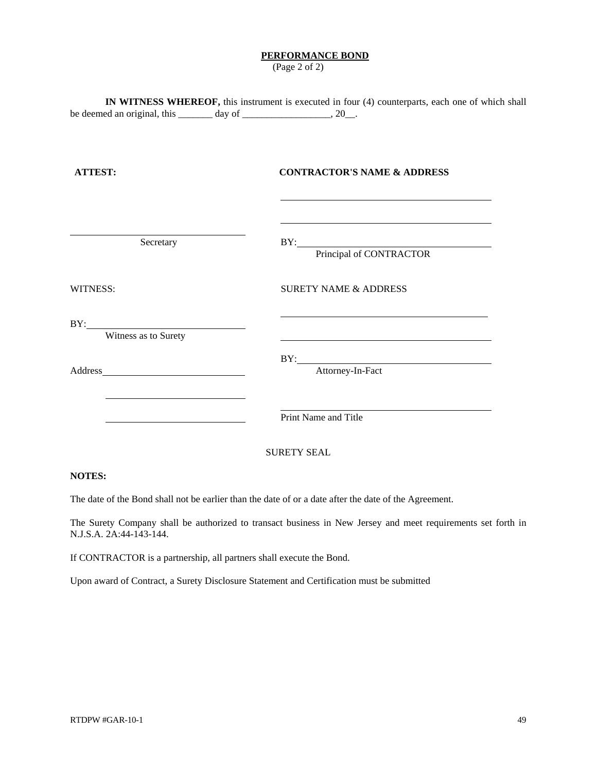### **PERFORMANCE BOND**

(Page 2 of 2)

**IN WITNESS WHEREOF,** this instrument is executed in four (4) counterparts, each one of which shall be deemed an original, this  $\frac{1}{2}$  day of  $\frac{1}{2}$ ,  $\frac{20}{2}$ .

| <b>ATTEST:</b>       | <b>CONTRACTOR'S NAME &amp; ADDRESS</b>                                                                                                                                                                                                             |  |  |  |  |
|----------------------|----------------------------------------------------------------------------------------------------------------------------------------------------------------------------------------------------------------------------------------------------|--|--|--|--|
|                      |                                                                                                                                                                                                                                                    |  |  |  |  |
| Secretary            | BY: Principal of CONTRACTOR                                                                                                                                                                                                                        |  |  |  |  |
| <b>WITNESS:</b>      | <b>SURETY NAME &amp; ADDRESS</b>                                                                                                                                                                                                                   |  |  |  |  |
| Witness as to Surety |                                                                                                                                                                                                                                                    |  |  |  |  |
|                      | BY: The contract of the contract of the contract of the contract of the contract of the contract of the contract of the contract of the contract of the contract of the contract of the contract of the contract of the contra<br>Attorney-In-Fact |  |  |  |  |
|                      | Print Name and Title                                                                                                                                                                                                                               |  |  |  |  |
|                      | <b>SURETY SEAL</b>                                                                                                                                                                                                                                 |  |  |  |  |

### **NOTES:**

The date of the Bond shall not be earlier than the date of or a date after the date of the Agreement.

The Surety Company shall be authorized to transact business in New Jersey and meet requirements set forth in N.J.S.A. 2A:44-143-144.

If CONTRACTOR is a partnership, all partners shall execute the Bond.

Upon award of Contract, a Surety Disclosure Statement and Certification must be submitted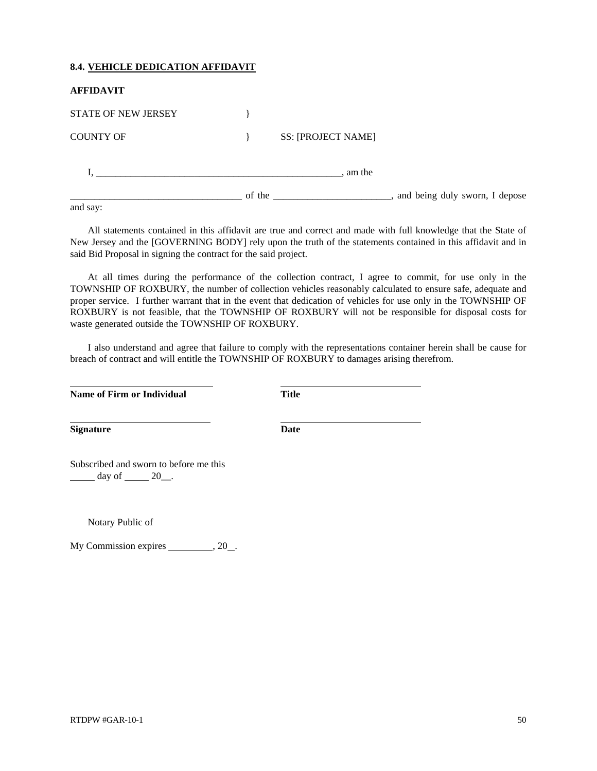### **8.4. VEHICLE DEDICATION AFFIDAVIT**

| <b>AFFIDAVIT</b>           |                           |
|----------------------------|---------------------------|
| <b>STATE OF NEW JERSEY</b> |                           |
| <b>COUNTY OF</b>           | <b>SS: [PROJECT NAME]</b> |
|                            | am the                    |
| and say:                   |                           |

All statements contained in this affidavit are true and correct and made with full knowledge that the State of New Jersey and the [GOVERNING BODY] rely upon the truth of the statements contained in this affidavit and in said Bid Proposal in signing the contract for the said project.

At all times during the performance of the collection contract, I agree to commit, for use only in the TOWNSHIP OF ROXBURY, the number of collection vehicles reasonably calculated to ensure safe, adequate and proper service. I further warrant that in the event that dedication of vehicles for use only in the TOWNSHIP OF ROXBURY is not feasible, that the TOWNSHIP OF ROXBURY will not be responsible for disposal costs for waste generated outside the TOWNSHIP OF ROXBURY.

I also understand and agree that failure to comply with the representations container herein shall be cause for breach of contract and will entitle the TOWNSHIP OF ROXBURY to damages arising therefrom.

| Name of Firm or Individual                                                                    | <b>Title</b> |  |  |
|-----------------------------------------------------------------------------------------------|--------------|--|--|
| <b>Signature</b>                                                                              | Date         |  |  |
| Subscribed and sworn to before me this<br>$\frac{1}{\sqrt{2}}$ day of $\frac{20}{\sqrt{2}}$ . |              |  |  |

Notary Public of

 $\overline{a}$ 

My Commission expires \_\_\_\_\_\_\_\_\_\_\_, 20\_\_.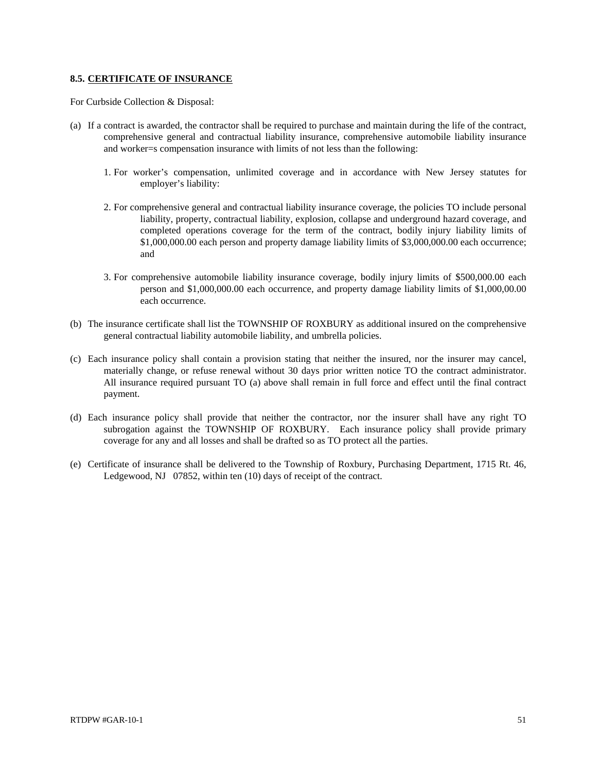### **8.5. CERTIFICATE OF INSURANCE**

For Curbside Collection & Disposal:

- (a) If a contract is awarded, the contractor shall be required to purchase and maintain during the life of the contract, comprehensive general and contractual liability insurance, comprehensive automobile liability insurance and worker=s compensation insurance with limits of not less than the following:
	- 1. For worker's compensation, unlimited coverage and in accordance with New Jersey statutes for employer's liability:
	- 2. For comprehensive general and contractual liability insurance coverage, the policies TO include personal liability, property, contractual liability, explosion, collapse and underground hazard coverage, and completed operations coverage for the term of the contract, bodily injury liability limits of \$1,000,000.00 each person and property damage liability limits of \$3,000,000.00 each occurrence; and
	- 3. For comprehensive automobile liability insurance coverage, bodily injury limits of \$500,000.00 each person and \$1,000,000.00 each occurrence, and property damage liability limits of \$1,000,00.00 each occurrence.
- (b) The insurance certificate shall list the TOWNSHIP OF ROXBURY as additional insured on the comprehensive general contractual liability automobile liability, and umbrella policies.
- (c) Each insurance policy shall contain a provision stating that neither the insured, nor the insurer may cancel, materially change, or refuse renewal without 30 days prior written notice TO the contract administrator. All insurance required pursuant TO (a) above shall remain in full force and effect until the final contract payment.
- (d) Each insurance policy shall provide that neither the contractor, nor the insurer shall have any right TO subrogation against the TOWNSHIP OF ROXBURY. Each insurance policy shall provide primary coverage for any and all losses and shall be drafted so as TO protect all the parties.
- (e) Certificate of insurance shall be delivered to the Township of Roxbury, Purchasing Department, 1715 Rt. 46, Ledgewood, NJ 07852, within ten (10) days of receipt of the contract.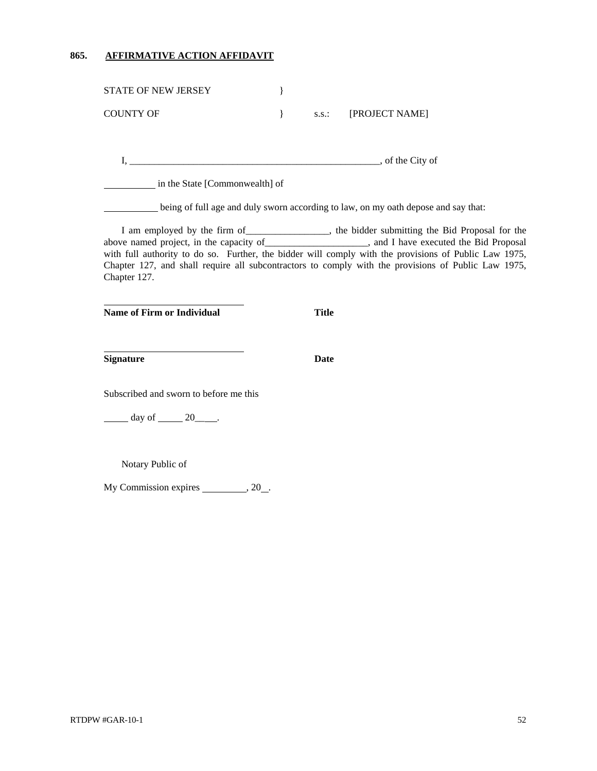## **865. AFFIRMATIVE ACTION AFFIDAVIT**

| <b>STATE OF NEW JERSEY</b>                                                                                                                                                                                                                                                                                                                                                                                                          | }    |              |                                                                                    |  |
|-------------------------------------------------------------------------------------------------------------------------------------------------------------------------------------------------------------------------------------------------------------------------------------------------------------------------------------------------------------------------------------------------------------------------------------|------|--------------|------------------------------------------------------------------------------------|--|
| <b>COUNTY OF</b>                                                                                                                                                                                                                                                                                                                                                                                                                    | $\}$ |              | s.s.: [PROJECT NAME]                                                               |  |
|                                                                                                                                                                                                                                                                                                                                                                                                                                     |      |              |                                                                                    |  |
|                                                                                                                                                                                                                                                                                                                                                                                                                                     |      |              |                                                                                    |  |
| in the State [Commonwealth] of                                                                                                                                                                                                                                                                                                                                                                                                      |      |              |                                                                                    |  |
|                                                                                                                                                                                                                                                                                                                                                                                                                                     |      |              | being of full age and duly sworn according to law, on my oath depose and say that: |  |
| I am employed by the firm of ________________, the bidder submitting the Bid Proposal for the<br>above named project, in the capacity of ____________________, and I have executed the Bid Proposal<br>with full authority to do so. Further, the bidder will comply with the provisions of Public Law 1975,<br>Chapter 127, and shall require all subcontractors to comply with the provisions of Public Law 1975,<br>Chapter 127. |      |              |                                                                                    |  |
| Name of Firm or Individual                                                                                                                                                                                                                                                                                                                                                                                                          |      | <b>Title</b> |                                                                                    |  |
|                                                                                                                                                                                                                                                                                                                                                                                                                                     |      |              |                                                                                    |  |
| <b>Signature</b>                                                                                                                                                                                                                                                                                                                                                                                                                    |      | Date         |                                                                                    |  |
| Subscribed and sworn to before me this                                                                                                                                                                                                                                                                                                                                                                                              |      |              |                                                                                    |  |
| $\frac{day \text{ of } 20}{x}$ .                                                                                                                                                                                                                                                                                                                                                                                                    |      |              |                                                                                    |  |
|                                                                                                                                                                                                                                                                                                                                                                                                                                     |      |              |                                                                                    |  |
| Notary Public of                                                                                                                                                                                                                                                                                                                                                                                                                    |      |              |                                                                                    |  |
| My Commission expires ___________, 20_.                                                                                                                                                                                                                                                                                                                                                                                             |      |              |                                                                                    |  |
|                                                                                                                                                                                                                                                                                                                                                                                                                                     |      |              |                                                                                    |  |
|                                                                                                                                                                                                                                                                                                                                                                                                                                     |      |              |                                                                                    |  |
|                                                                                                                                                                                                                                                                                                                                                                                                                                     |      |              |                                                                                    |  |
|                                                                                                                                                                                                                                                                                                                                                                                                                                     |      |              |                                                                                    |  |
|                                                                                                                                                                                                                                                                                                                                                                                                                                     |      |              |                                                                                    |  |
|                                                                                                                                                                                                                                                                                                                                                                                                                                     |      |              |                                                                                    |  |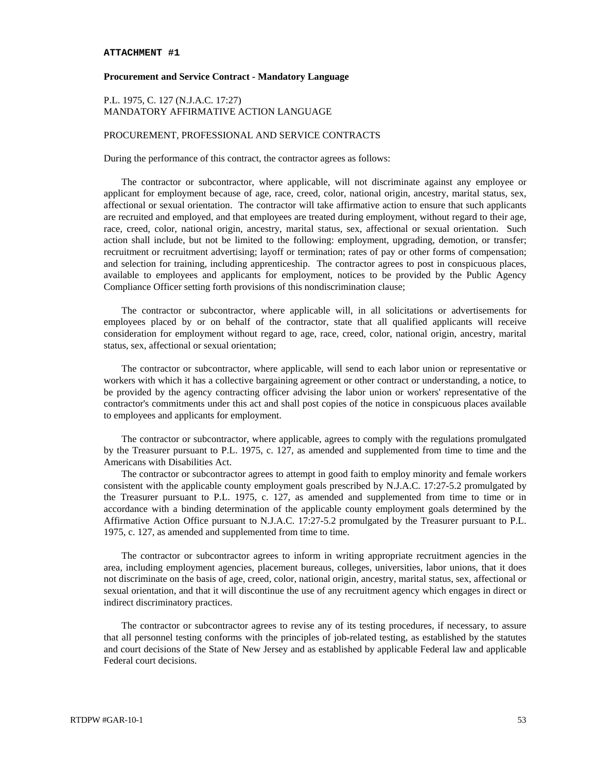### **ATTACHMENT #1**

### **Procurement and Service Contract - Mandatory Language**

### P.L. 1975, C. 127 (N.J.A.C. 17:27) MANDATORY AFFIRMATIVE ACTION LANGUAGE

### PROCUREMENT, PROFESSIONAL AND SERVICE CONTRACTS

During the performance of this contract, the contractor agrees as follows:

The contractor or subcontractor, where applicable, will not discriminate against any employee or applicant for employment because of age, race, creed, color, national origin, ancestry, marital status, sex, affectional or sexual orientation. The contractor will take affirmative action to ensure that such applicants are recruited and employed, and that employees are treated during employment, without regard to their age, race, creed, color, national origin, ancestry, marital status, sex, affectional or sexual orientation. Such action shall include, but not be limited to the following: employment, upgrading, demotion, or transfer; recruitment or recruitment advertising; layoff or termination; rates of pay or other forms of compensation; and selection for training, including apprenticeship. The contractor agrees to post in conspicuous places, available to employees and applicants for employment, notices to be provided by the Public Agency Compliance Officer setting forth provisions of this nondiscrimination clause;

The contractor or subcontractor, where applicable will, in all solicitations or advertisements for employees placed by or on behalf of the contractor, state that all qualified applicants will receive consideration for employment without regard to age, race, creed, color, national origin, ancestry, marital status, sex, affectional or sexual orientation;

The contractor or subcontractor, where applicable, will send to each labor union or representative or workers with which it has a collective bargaining agreement or other contract or understanding, a notice, to be provided by the agency contracting officer advising the labor union or workers' representative of the contractor's commitments under this act and shall post copies of the notice in conspicuous places available to employees and applicants for employment.

The contractor or subcontractor, where applicable, agrees to comply with the regulations promulgated by the Treasurer pursuant to P.L. 1975, c. 127, as amended and supplemented from time to time and the Americans with Disabilities Act.

The contractor or subcontractor agrees to attempt in good faith to employ minority and female workers consistent with the applicable county employment goals prescribed by N.J.A.C. 17:27-5.2 promulgated by the Treasurer pursuant to P.L. 1975, c. 127, as amended and supplemented from time to time or in accordance with a binding determination of the applicable county employment goals determined by the Affirmative Action Office pursuant to N.J.A.C. 17:27-5.2 promulgated by the Treasurer pursuant to P.L. 1975, c. 127, as amended and supplemented from time to time.

The contractor or subcontractor agrees to inform in writing appropriate recruitment agencies in the area, including employment agencies, placement bureaus, colleges, universities, labor unions, that it does not discriminate on the basis of age, creed, color, national origin, ancestry, marital status, sex, affectional or sexual orientation, and that it will discontinue the use of any recruitment agency which engages in direct or indirect discriminatory practices.

The contractor or subcontractor agrees to revise any of its testing procedures, if necessary, to assure that all personnel testing conforms with the principles of job-related testing, as established by the statutes and court decisions of the State of New Jersey and as established by applicable Federal law and applicable Federal court decisions.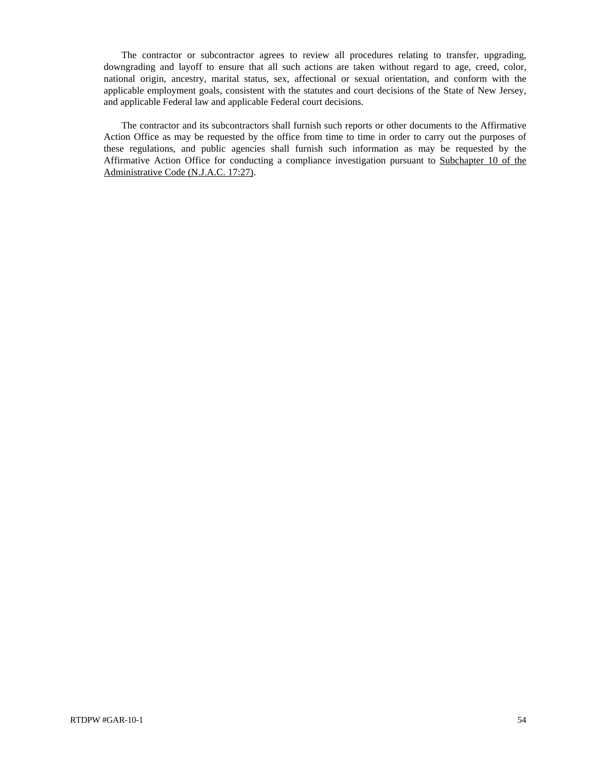The contractor or subcontractor agrees to review all procedures relating to transfer, upgrading, downgrading and layoff to ensure that all such actions are taken without regard to age, creed, color, national origin, ancestry, marital status, sex, affectional or sexual orientation, and conform with the applicable employment goals, consistent with the statutes and court decisions of the State of New Jersey, and applicable Federal law and applicable Federal court decisions.

The contractor and its subcontractors shall furnish such reports or other documents to the Affirmative Action Office as may be requested by the office from time to time in order to carry out the purposes of these regulations, and public agencies shall furnish such information as may be requested by the Affirmative Action Office for conducting a compliance investigation pursuant to Subchapter 10 of the Administrative Code (N.J.A.C. 17:27).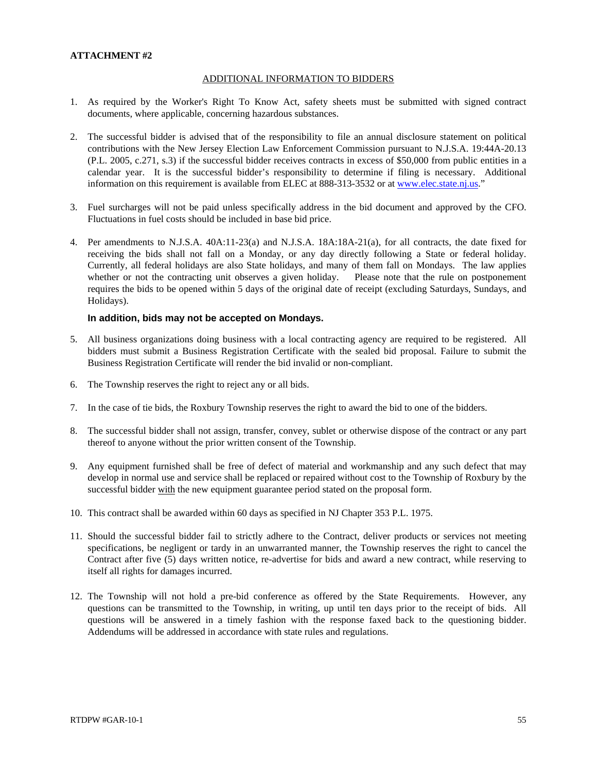### **ATTACHMENT #2**

### ADDITIONAL INFORMATION TO BIDDERS

- 1. As required by the Worker's Right To Know Act, safety sheets must be submitted with signed contract documents, where applicable, concerning hazardous substances.
- 2. The successful bidder is advised that of the responsibility to file an annual disclosure statement on political contributions with the New Jersey Election Law Enforcement Commission pursuant to N.J.S.A. 19:44A-20.13 (P.L. 2005, c.271, s.3) if the successful bidder receives contracts in excess of \$50,000 from public entities in a calendar year. It is the successful bidder's responsibility to determine if filing is necessary. Additional information on this requirement is available from ELEC at 888-313-3532 or at [www.elec.state.nj.us.](http://www.elec.state.nj.us/)"
- 3. Fuel surcharges will not be paid unless specifically address in the bid document and approved by the CFO. Fluctuations in fuel costs should be included in base bid price.
- 4. Per amendments to N.J.S.A. 40A:11-23(a) and N.J.S.A. 18A:18A-21(a), for all contracts, the date fixed for receiving the bids shall not fall on a Monday, or any day directly following a State or federal holiday. Currently, all federal holidays are also State holidays, and many of them fall on Mondays. The law applies whether or not the contracting unit observes a given holiday. Please note that the rule on postponement requires the bids to be opened within 5 days of the original date of receipt (excluding Saturdays, Sundays, and Holidays).

### **In addition, bids may not be accepted on Mondays.**

- 5. All business organizations doing business with a local contracting agency are required to be registered. All bidders must submit a Business Registration Certificate with the sealed bid proposal. Failure to submit the Business Registration Certificate will render the bid invalid or non-compliant.
- 6. The Township reserves the right to reject any or all bids.
- 7. In the case of tie bids, the Roxbury Township reserves the right to award the bid to one of the bidders.
- 8. The successful bidder shall not assign, transfer, convey, sublet or otherwise dispose of the contract or any part thereof to anyone without the prior written consent of the Township.
- 9. Any equipment furnished shall be free of defect of material and workmanship and any such defect that may develop in normal use and service shall be replaced or repaired without cost to the Township of Roxbury by the successful bidder with the new equipment guarantee period stated on the proposal form.
- 10. This contract shall be awarded within 60 days as specified in NJ Chapter 353 P.L. 1975.
- 11. Should the successful bidder fail to strictly adhere to the Contract, deliver products or services not meeting specifications, be negligent or tardy in an unwarranted manner, the Township reserves the right to cancel the Contract after five (5) days written notice, re-advertise for bids and award a new contract, while reserving to itself all rights for damages incurred.
- 12. The Township will not hold a pre-bid conference as offered by the State Requirements. However, any questions can be transmitted to the Township, in writing, up until ten days prior to the receipt of bids. All questions will be answered in a timely fashion with the response faxed back to the questioning bidder. Addendums will be addressed in accordance with state rules and regulations.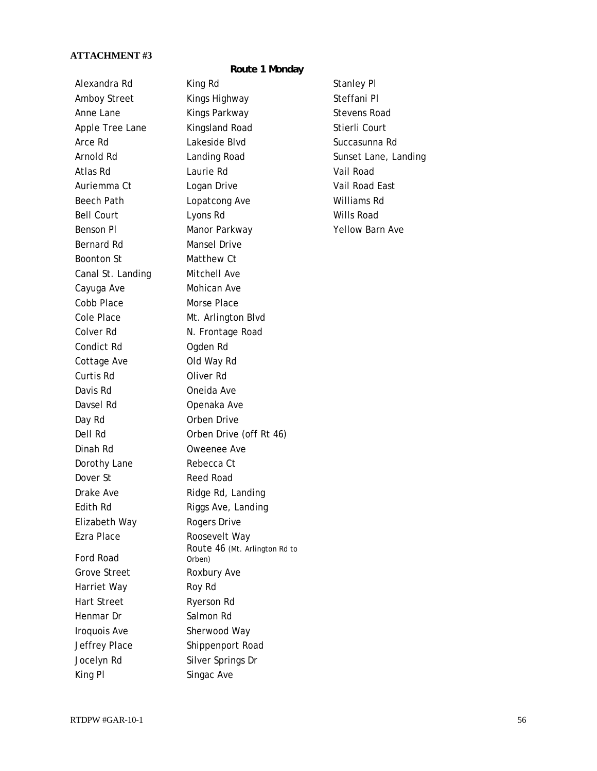### **ATTACHMENT #3**

### **Route 1 Monday**

Bernard Rd **Mansel Drive** Boonton St Matthew Ct Canal St. Landing Mitchell Ave Cayuga Ave **Mohican Ave** Cobb Place Morse Place Cole Place Mt. Arlington Blvd Colver Rd N. Frontage Road Condict Rd **Ogden Rd** Cottage Ave Old Way Rd Curtis Rd Oliver Rd Davis Rd **Davis Rd
Note 1988** Davsel Rd **Davsel Rd
Now Communist Communist Communist Communist Communist Communist Communist Communist Communist Communist Communist Communist Communist Communist Communist Communist Communist Communist Communist Communi** Day Rd **Orben Drive** Dinah Rd Oweenee Ave Dorothy Lane Rebecca Ct Dover St **Reed Road** Drake Ave **Ridge Rd, Landing** Edith Rd Riggs Ave, Landing Elizabeth Way Rogers Drive Ezra Place Roosevelt Way Ford Road Grove Street Roxbury Ave Harriet Way **Roy Rd** Hart Street Ryerson Rd Henmar Dr Salmon Rd Iroquois Ave Sherwood Way Jeffrey Place Shippenport Road Jocelyn Rd Silver Springs Dr King Pl Singac Ave

Alexandra Rd King Rd Stanley Pl Amboy Street Kings Highway Steffani Pl Anne Lane **Kings Parkway** Stevens Road Apple Tree Lane Kingsland Road Stierli Court Arce Rd
Blue Lakeside Blvd
Blue Contact Succasunna Rd
arce Rd
Succasunna Rd
Blue Casunna Rd
Blue Contact Succasunna Rd
Blue Contact Succasunna Rd
Blue Contact Succasunna Rd
Blue Contact Succasunna Rd
Blue Contact Succasunn Arnold Rd Landing Road Sunset Lane, Landing Atlas Rd Laurie Rd Vail Road Auriemma Ct **Logan Drive** Communication Vail Road East Beech Path **Lopatcong Ave** Williams Rd Bell Court Lyons Rd Wills Road Benson Pl **Manor Parkway WARDA CONGREGATE PROPERTY** PARTY Dell Rd **Orben Drive (off Rt 46)** Route 46 (Mt. Arlington Rd to Orben)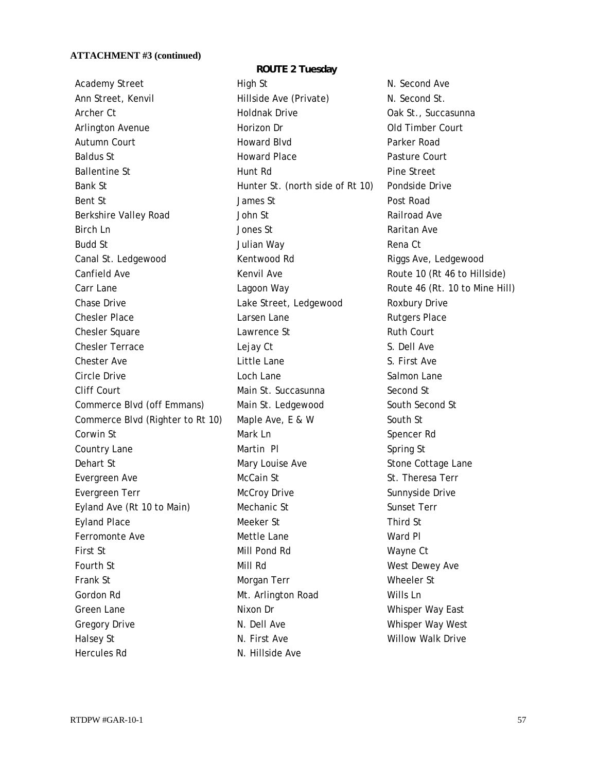Academy Street High St N. Second Ave Ann Street, Kenvil **Hillside Ave (Private)** N. Second St. Archer Ct **Archer Ct Holdnak Drive Community Oak St., Succasunna** Arlington Avenue **Horizon Dr Horizon Dr Old Timber Court** Autumn Court **Counting Court Counting Counting Counting Counting Counting Counting Parker Road** Baldus St **Example 2** Howard Place **Pasture Court** Ballentine St **Allentine St Hunt Rd Pine Street** Bank St **Example 2** Hunter St. (north side of Rt 10) Pondside Drive Bent St **Contract Struck Contract Struck** James St **Post Road** Berkshire Valley Road **Markow Started Avenue Avenue Avenue Ave** Railroad Ave Birch Ln **Birch Ln** Jones St Raritan Ave Budd St Julian Way Rena Ct Canal St. Ledgewood **Kentwood Rd Kentwood Rd** Riggs Ave, Ledgewood Canfield Ave **Kenvil Ave Route 10 (Rt 46 to Hillside)** Canfield Ave Carr Lane **Carries Carr Lane Carries Carries Lagoon Way Route 46 (Rt. 10 to Mine Hill)** Chase Drive **Lake Street, Ledgewood** Roxbury Drive Chesler Place **Larsen Lane** Chesler Place **Chesler Place** Chesler Square **Lawrence St** Chesler Square **Chesler** Square Chesler Terrace **Lejay Ct** Chesler Terrace **Chesler** Terrace **S. Dell Ave** Chester Ave **Chester Ave** Little Lane **S. First Ave** Circle Drive **Communist Communist Loch Lane** Circle Drive Salmon Lane Cliff Court Main St. Succasunna Second St Commerce Blvd (off Emmans) Main St. Ledgewood South Second St Commerce Blvd (Righter to Rt 10) Maple Ave, E & W South St Corwin St **Mark Ln** Mark Ln Spencer Rd Country Lane **Martin Pl** Spring St Dehart St Mary Louise Ave Stone Cottage Lane Evergreen Ave **McCain St** St. Theresa Terr Evergreen Terr **McCroy Drive** Sunnyside Drive Eyland Ave (Rt 10 to Main) Mechanic St Sunset Terr Eyland Place **Meeker St** Meeker St Third St Ferromonte Ave **Mettle Lane** Mettle Lane Ward Pl First St Mill Pond Rd Wayne Ct Fourth St **Mill Rd** Mill Rd West Dewey Ave Frank St **Example 2018** Morgan Terr Morgan Morgan Morgan Muslem Morgan Terr Morgan Muslem Muslem St Gordon Rd **Mt. Arlington Road** Wills Ln Green Lane **Nixon Dr** Nixon Dr Whisper Way East Gregory Drive **N. Dell Ave M. Dell Ave Whisper Way West** Halsey St **N. First Ave Struck** Willow Walk Drive Hercules Rd N. Hillside Ave

**ROUTE 2 Tuesday**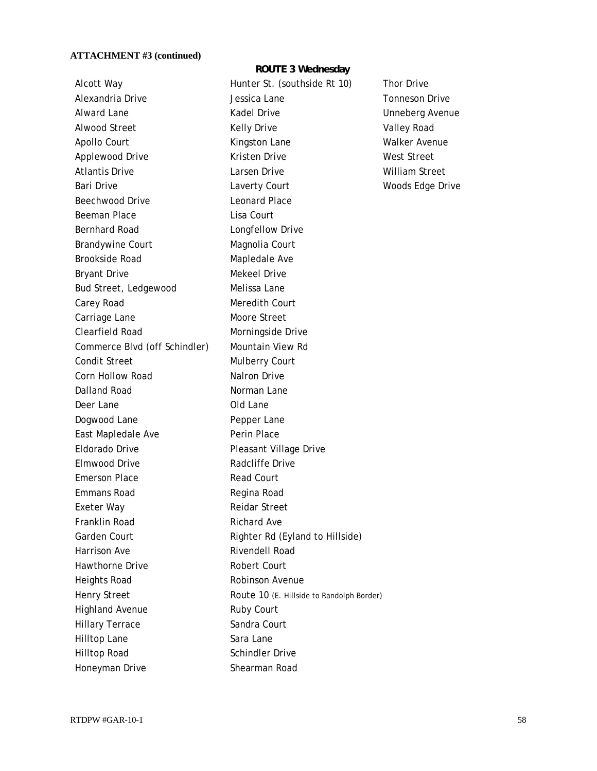Beechwood Drive Leonard Place Beeman Place Lisa Court Bernhard Road **Longfellow Drive** Brandywine Court Magnolia Court Brookside Road Mapledale Ave Bryant Drive **Mekeel Drive** Mekeel Drive Bud Street, Ledgewood Melissa Lane Carey Road Meredith Court Carriage Lane Moore Street Clearfield Road Morningside Drive Commerce Blvd (off Schindler) Mountain View Rd Condit Street Mulberry Court Corn Hollow Road Nalron Drive Dalland Road Norman Lane Deer Lane **Deer** Lane Dogwood Lane Pepper Lane East Mapledale Ave **Perin Place** Eldorado Drive **Pleasant Village Drive** Elmwood Drive **Radcliffe** Drive Emerson Place Read Court Emmans Road **Regina Road** Exeter Way **Reidar Street** Franklin Road Richard Ave Garden Court **Righter Rd (Eyland to Hillside)** Harrison Ave **Rivendell Road** Hawthorne Drive **Robert Court** Heights Road Robinson Avenue Highland Avenue Ruby Court Hillary Terrace Sandra Court Hilltop Lane Sara Lane Hilltop Road Schindler Drive Honeyman Drive Shearman Road

Kelly Drive **ROUTE 3 Wednesday**  Alcott Way Hunter St. (southside Rt 10) Thor Drive Alexandria Drive **Alexandria Drive Communist Club** Jessica Lane Tonneson Drive Communist Club Jessica Lane Alward Lane **Kadel Drive** Controller Unneberg Avenue Alwood Street **Valley Road** Kelly Drive **Valley Road** Apollo Court **Kingston Lane** Walker Avenue Applewood Drive **Kristen Drive** Kristen Drive West Street Atlantis Drive Larsen Drive William Street Bari Drive **Contains Court** Laverty Court **Court** Moods Edge Drive Henry Street Route 10 (E. Hillside to Randolph Border)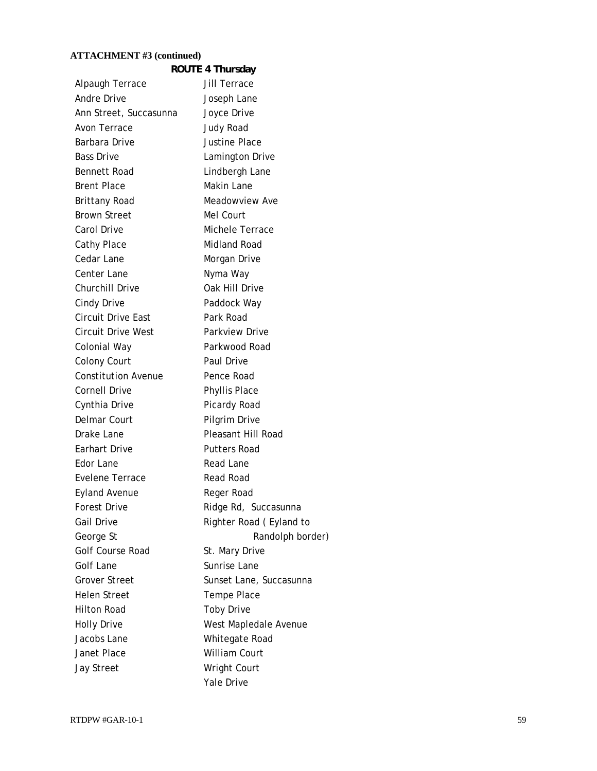|                            | ROUTE 4 Thursday        |
|----------------------------|-------------------------|
| Alpaugh Terrace            | Jill Terrace            |
| <b>Andre Drive</b>         | Joseph Lane             |
| Ann Street, Succasunna     | Joyce Drive             |
| Avon Terrace               | <b>Judy Road</b>        |
| Barbara Drive              | <b>Justine Place</b>    |
| <b>Bass Drive</b>          | Lamington Drive         |
| <b>Bennett Road</b>        | Lindbergh Lane          |
| <b>Brent Place</b>         | Makin Lane              |
| Brittany Road              | Meadowview Ave          |
| <b>Brown Street</b>        | Mel Court               |
| Carol Drive                | Michele Terrace         |
| Cathy Place                | Midland Road            |
| Cedar Lane                 | Morgan Drive            |
| Center Lane                | Nyma Way                |
| <b>Churchill Drive</b>     | Oak Hill Drive          |
| <b>Cindy Drive</b>         | Paddock Way             |
| <b>Circuit Drive East</b>  | Park Road               |
| <b>Circuit Drive West</b>  | Parkview Drive          |
| Colonial Way               | Parkwood Road           |
| <b>Colony Court</b>        | Paul Drive              |
| <b>Constitution Avenue</b> | Pence Road              |
| <b>Cornell Drive</b>       | Phyllis Place           |
| Cynthia Drive              | Picardy Road            |
| Delmar Court               | Pilgrim Drive           |
| Drake Lane                 | Pleasant Hill Road      |
| Earhart Drive              | <b>Putters Road</b>     |
| Edor Lane                  | <b>Read Lane</b>        |
| Evelene Terrace            | <b>Read Road</b>        |
| <b>Eyland Avenue</b>       | Reger Road              |
| <b>Forest Drive</b>        | Ridge Rd, Succasunna    |
| <b>Gail Drive</b>          | Righter Road (Eyland to |
| George St                  | Randolph border)        |
| Golf Course Road           | St. Mary Drive          |
| <b>Golf Lane</b>           | Sunrise Lane            |
| <b>Grover Street</b>       | Sunset Lane, Succasunna |
| <b>Helen Street</b>        | Tempe Place             |
| <b>Hilton Road</b>         | <b>Toby Drive</b>       |
| <b>Holly Drive</b>         | West Mapledale Avenue   |
| Jacobs Lane                | Whitegate Road          |
| Janet Place                | <b>William Court</b>    |
| <b>Jay Street</b>          | <b>Wright Court</b>     |
|                            | Yale Drive              |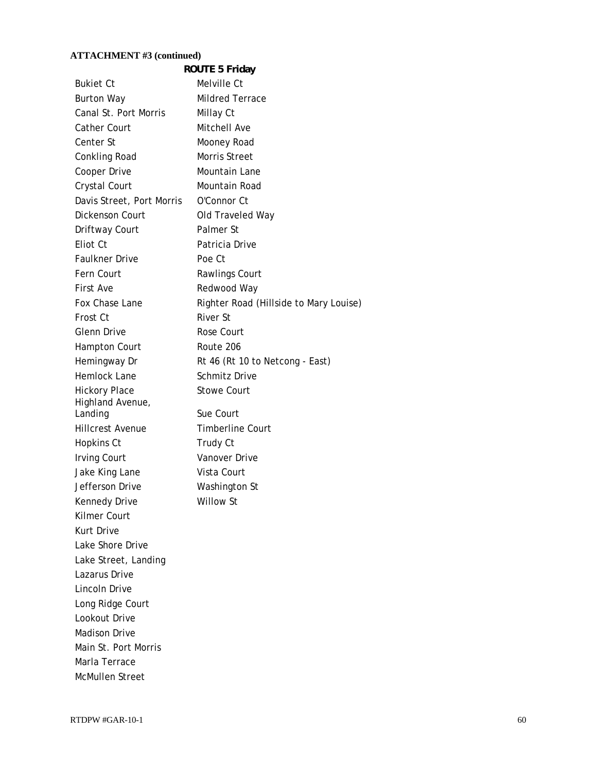|                           | <b>ROUTE 5 Friday</b>                  |
|---------------------------|----------------------------------------|
| <b>Bukiet Ct</b>          | Melville Ct                            |
| <b>Burton Way</b>         | <b>Mildred Terrace</b>                 |
| Canal St. Port Morris     | Millay Ct                              |
| <b>Cather Court</b>       | Mitchell Ave                           |
| Center St                 | Mooney Road                            |
| Conkling Road             | Morris Street                          |
| Cooper Drive              | Mountain Lane                          |
| Crystal Court             | Mountain Road                          |
| Davis Street, Port Morris | O'Connor Ct                            |
| Dickenson Court           | Old Traveled Way                       |
| Driftway Court            | Palmer St                              |
| Eliot Ct                  | Patricia Drive                         |
| <b>Faulkner Drive</b>     | Poe Ct                                 |
| Fern Court                | Rawlings Court                         |
| First Ave                 | Redwood Way                            |
| Fox Chase Lane            | Righter Road (Hillside to Mary Louise) |
| Frost Ct                  | River St                               |
| <b>Glenn Drive</b>        | Rose Court                             |
| <b>Hampton Court</b>      | Route 206                              |
| Hemingway Dr              | Rt 46 (Rt 10 to Netcong - East)        |
| Hemlock Lane              | <b>Schmitz Drive</b>                   |
| <b>Hickory Place</b>      | <b>Stowe Court</b>                     |
| Highland Avenue,          |                                        |
| Landing                   | Sue Court                              |
| <b>Hillcrest Avenue</b>   | <b>Timberline Court</b>                |
| Hopkins Ct                | Trudy Ct                               |
| <b>Irving Court</b>       | Vanover Drive                          |
| Jake King Lane            | Vista Court                            |
| Jefferson Drive           | Washington St                          |
| Kennedy Drive             | <b>Willow St</b>                       |
| <b>Kilmer Court</b>       |                                        |
| Kurt Drive                |                                        |
| Lake Shore Drive          |                                        |
| Lake Street, Landing      |                                        |
| Lazarus Drive             |                                        |
| Lincoln Drive             |                                        |
| Long Ridge Court          |                                        |
| Lookout Drive             |                                        |
| <b>Madison Drive</b>      |                                        |
| Main St. Port Morris      |                                        |
| Marla Terrace             |                                        |
| <b>McMullen Street</b>    |                                        |